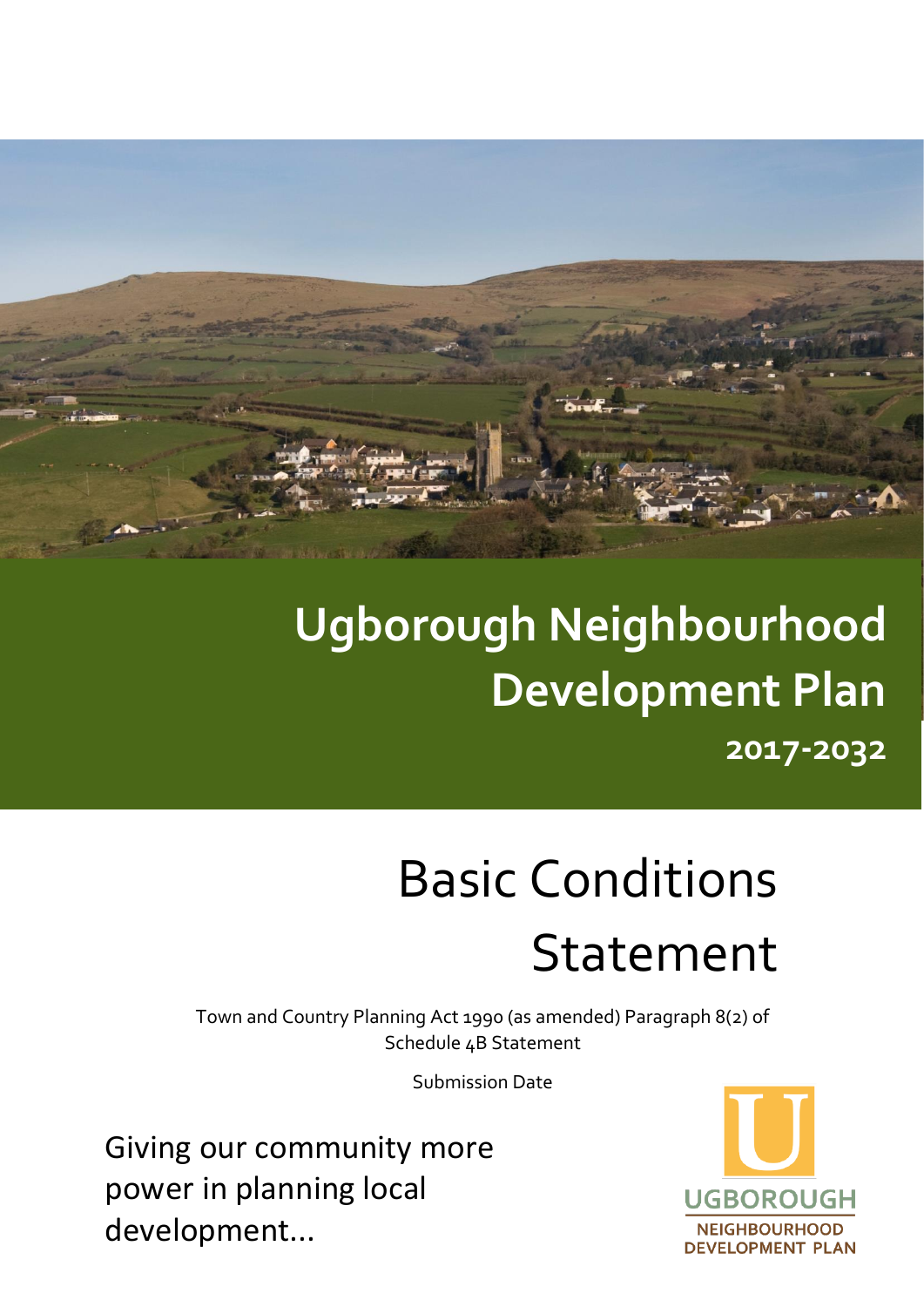

## **Ugborough Neighbourhood Development Plan 2017-2032**

# Basic Conditions Statement

Town and Country Planning Act 1990 (as amended) Paragraph 8(2) of Schedule 4B Statement

Submission Date

Giving our community more power in planning local development...

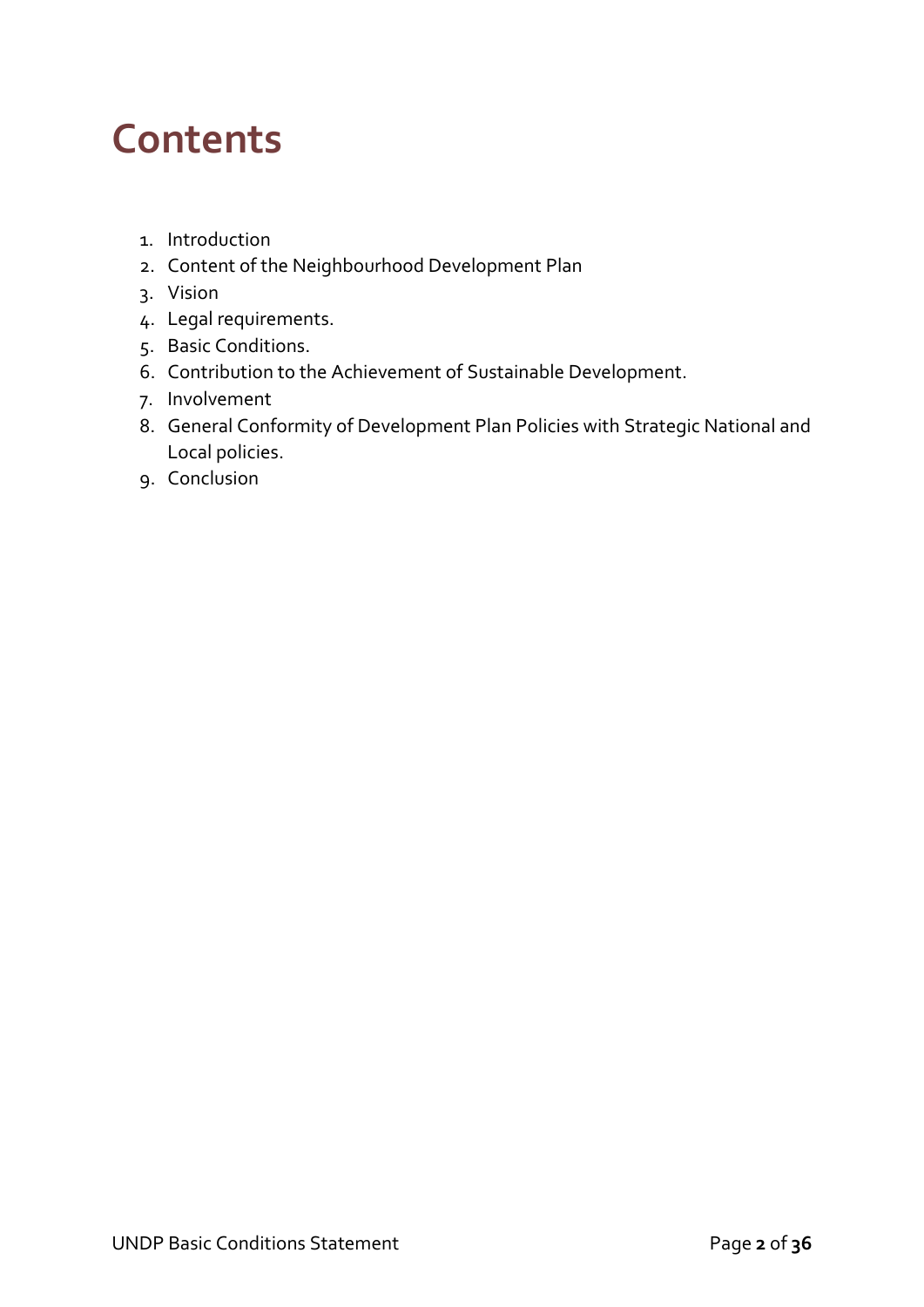### **Contents**

- 1. Introduction
- 2. Content of the Neighbourhood Development Plan
- 3. Vision
- 4. Legal requirements.
- 5. Basic Conditions.
- 6. Contribution to the Achievement of Sustainable Development.
- 7. Involvement
- 8. General Conformity of Development Plan Policies with Strategic National and Local policies.
- 9. Conclusion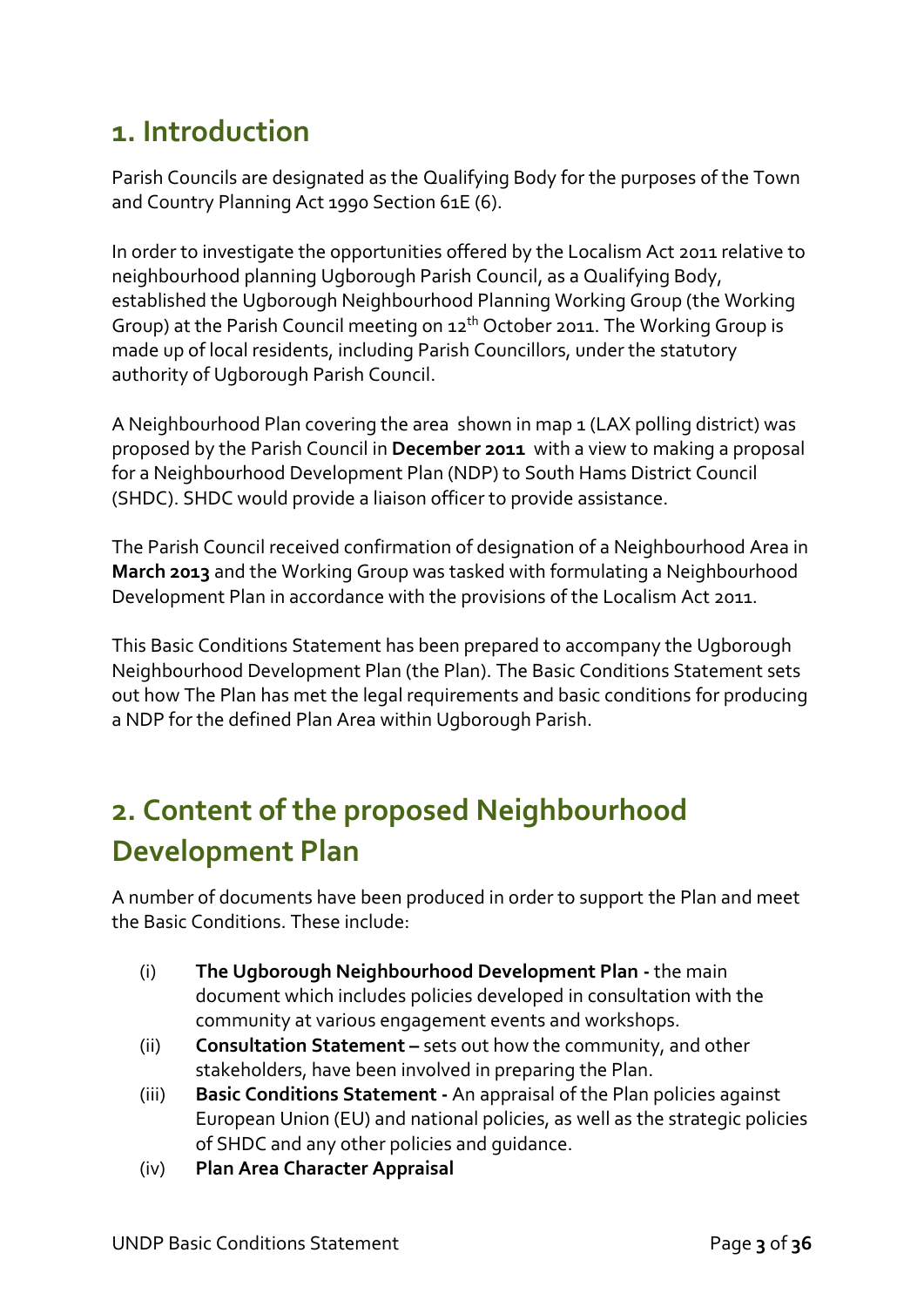### **1. Introduction**

Parish Councils are designated as the Qualifying Body for the purposes of the Town and Country Planning Act 1990 Section 61E (6).

In order to investigate the opportunities offered by the Localism Act 2011 relative to neighbourhood planning Ugborough Parish Council, as a Qualifying Body, established the Ugborough Neighbourhood Planning Working Group (the Working Group) at the Parish Council meeting on 12<sup>th</sup> October 2011. The Working Group is made up of local residents, including Parish Councillors, under the statutory authority of Ugborough Parish Council.

A Neighbourhood Plan covering the area shown in map 1 (LAX polling district) was proposed by the Parish Council in **December 2011** with a view to making a proposal for a Neighbourhood Development Plan (NDP) to South Hams District Council (SHDC). SHDC would provide a liaison officer to provide assistance.

The Parish Council received confirmation of designation of a Neighbourhood Area in **March 2013** and the Working Group was tasked with formulating a Neighbourhood Development Plan in accordance with the provisions of the Localism Act 2011.

This Basic Conditions Statement has been prepared to accompany the Ugborough Neighbourhood Development Plan (the Plan). The Basic Conditions Statement sets out how The Plan has met the legal requirements and basic conditions for producing a NDP for the defined Plan Area within Ugborough Parish.

### **2. Content of the proposed Neighbourhood Development Plan**

A number of documents have been produced in order to support the Plan and meet the Basic Conditions. These include:

- (i) **The Ugborough Neighbourhood Development Plan -** the main document which includes policies developed in consultation with the community at various engagement events and workshops.
- (ii) **Consultation Statement –** sets out how the community, and other stakeholders, have been involved in preparing the Plan.
- (iii) **Basic Conditions Statement -** An appraisal of the Plan policies against European Union (EU) and national policies, as well as the strategic policies of SHDC and any other policies and guidance.
- (iv) **Plan Area Character Appraisal**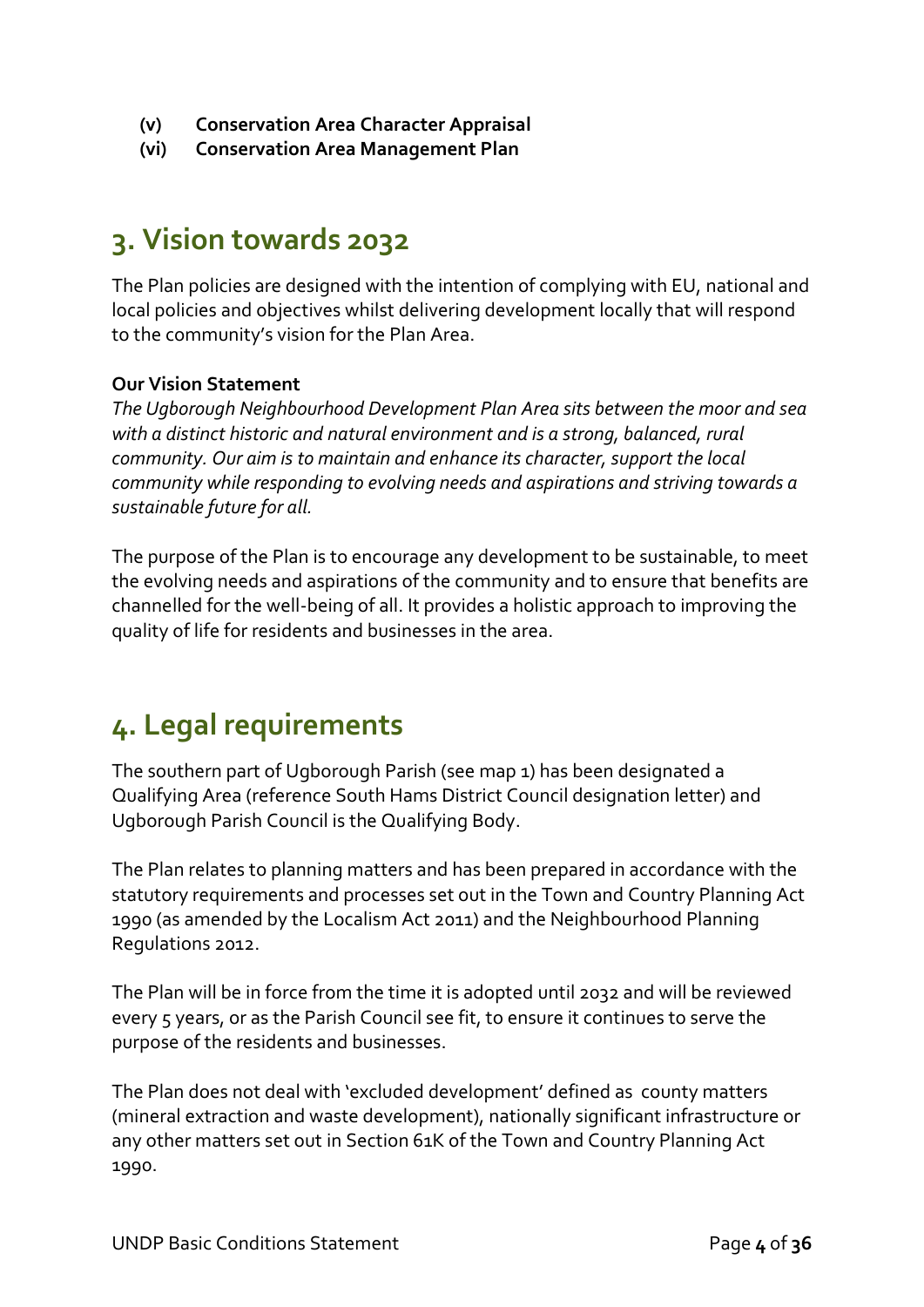- **(v) Conservation Area Character Appraisal**
- **(vi) Conservation Area Management Plan**

### **3. Vision towards 2032**

The Plan policies are designed with the intention of complying with EU, national and local policies and objectives whilst delivering development locally that will respond to the community's vision for the Plan Area.

#### **Our Vision Statement**

*The Ugborough Neighbourhood Development Plan Area sits between the moor and sea with a distinct historic and natural environment and is a strong, balanced, rural community. Our aim is to maintain and enhance its character, support the local community while responding to evolving needs and aspirations and striving towards a sustainable future for all.*

The purpose of the Plan is to encourage any development to be sustainable, to meet the evolving needs and aspirations of the community and to ensure that benefits are channelled for the well-being of all. It provides a holistic approach to improving the quality of life for residents and businesses in the area.

### **4. Legal requirements**

The southern part of Ugborough Parish (see map 1) has been designated a Qualifying Area (reference South Hams District Council designation letter) and Ugborough Parish Council is the Qualifying Body.

The Plan relates to planning matters and has been prepared in accordance with the statutory requirements and processes set out in the Town and Country Planning Act 1990 (as amended by the Localism Act 2011) and the Neighbourhood Planning Regulations 2012.

The Plan will be in force from the time it is adopted until 2032 and will be reviewed every 5 years, or as the Parish Council see fit, to ensure it continues to serve the purpose of the residents and businesses.

The Plan does not deal with 'excluded development' defined as county matters (mineral extraction and waste development), nationally significant infrastructure or any other matters set out in Section 61K of the Town and Country Planning Act 1990.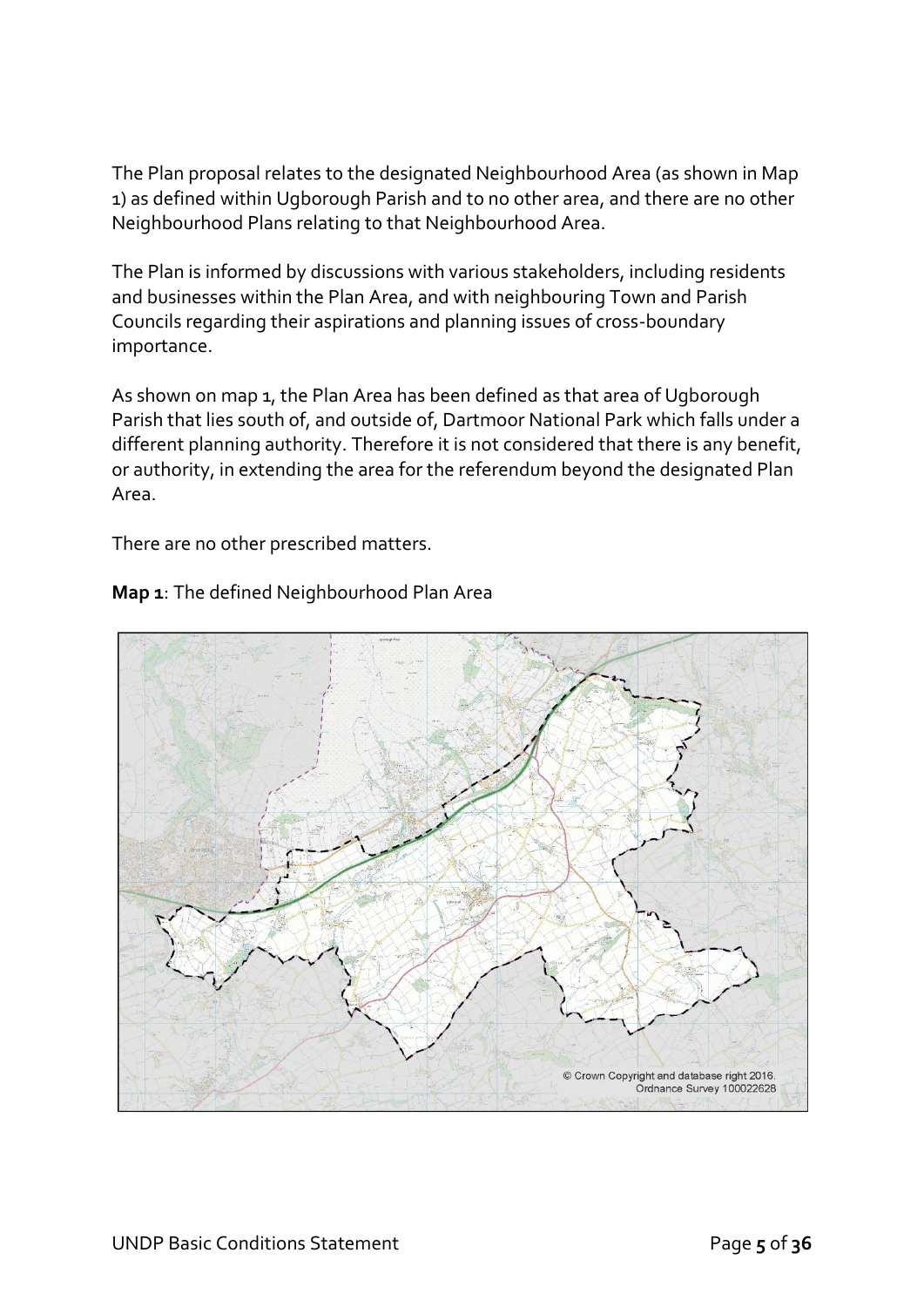The Plan proposal relates to the designated Neighbourhood Area (as shown in Map 1) as defined within Ugborough Parish and to no other area, and there are no other Neighbourhood Plans relating to that Neighbourhood Area.

The Plan is informed by discussions with various stakeholders, including residents and businesses within the Plan Area, and with neighbouring Town and Parish Councils regarding their aspirations and planning issues of cross-boundary importance.

As shown on map 1, the Plan Area has been defined as that area of Ugborough Parish that lies south of, and outside of, Dartmoor National Park which falls under a different planning authority. Therefore it is not considered that there is any benefit, or authority, in extending the area for the referendum beyond the designated Plan Area.

There are no other prescribed matters.



#### **Map 1**: The defined Neighbourhood Plan Area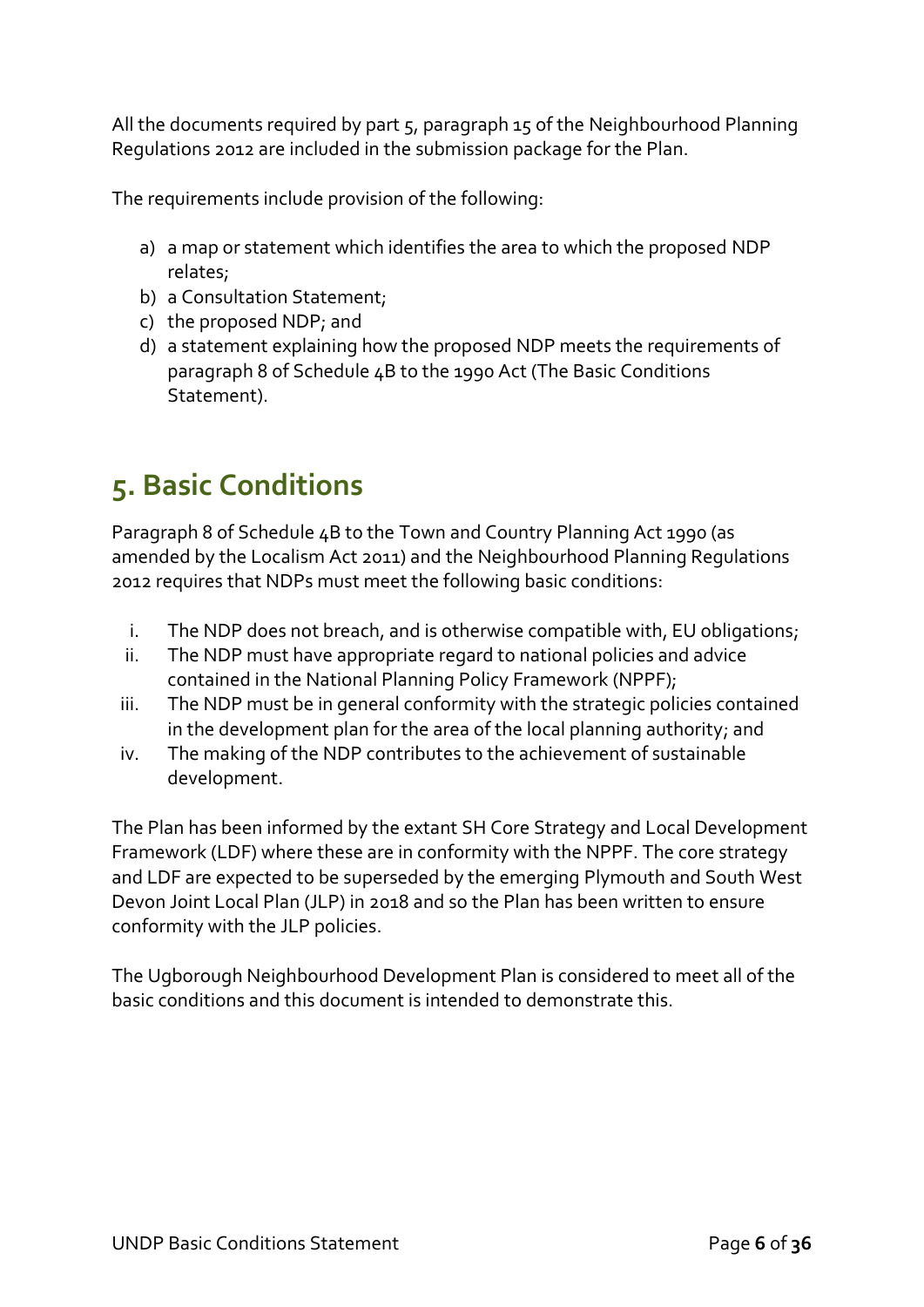All the documents required by part 5, paragraph 15 of the Neighbourhood Planning Regulations 2012 are included in the submission package for the Plan.

The requirements include provision of the following:

- a) a map or statement which identifies the area to which the proposed NDP relates;
- b) a Consultation Statement;
- c) the proposed NDP; and
- d) a statement explaining how the proposed NDP meets the requirements of paragraph 8 of Schedule 4B to the 1990 Act (The Basic Conditions Statement).

### **5. Basic Conditions**

Paragraph 8 of Schedule 4B to the Town and Country Planning Act 1990 (as amended by the Localism Act 2011) and the Neighbourhood Planning Regulations 2012 requires that NDPs must meet the following basic conditions:

- i. The NDP does not breach, and is otherwise compatible with, EU obligations;
- ii. The NDP must have appropriate regard to national policies and advice contained in the National Planning Policy Framework (NPPF);
- iii. The NDP must be in general conformity with the strategic policies contained in the development plan for the area of the local planning authority; and
- iv. The making of the NDP contributes to the achievement of sustainable development.

The Plan has been informed by the extant SH Core Strategy and Local Development Framework (LDF) where these are in conformity with the NPPF. The core strategy and LDF are expected to be superseded by the emerging Plymouth and South West Devon Joint Local Plan (JLP) in 2018 and so the Plan has been written to ensure conformity with the JLP policies.

The Ugborough Neighbourhood Development Plan is considered to meet all of the basic conditions and this document is intended to demonstrate this.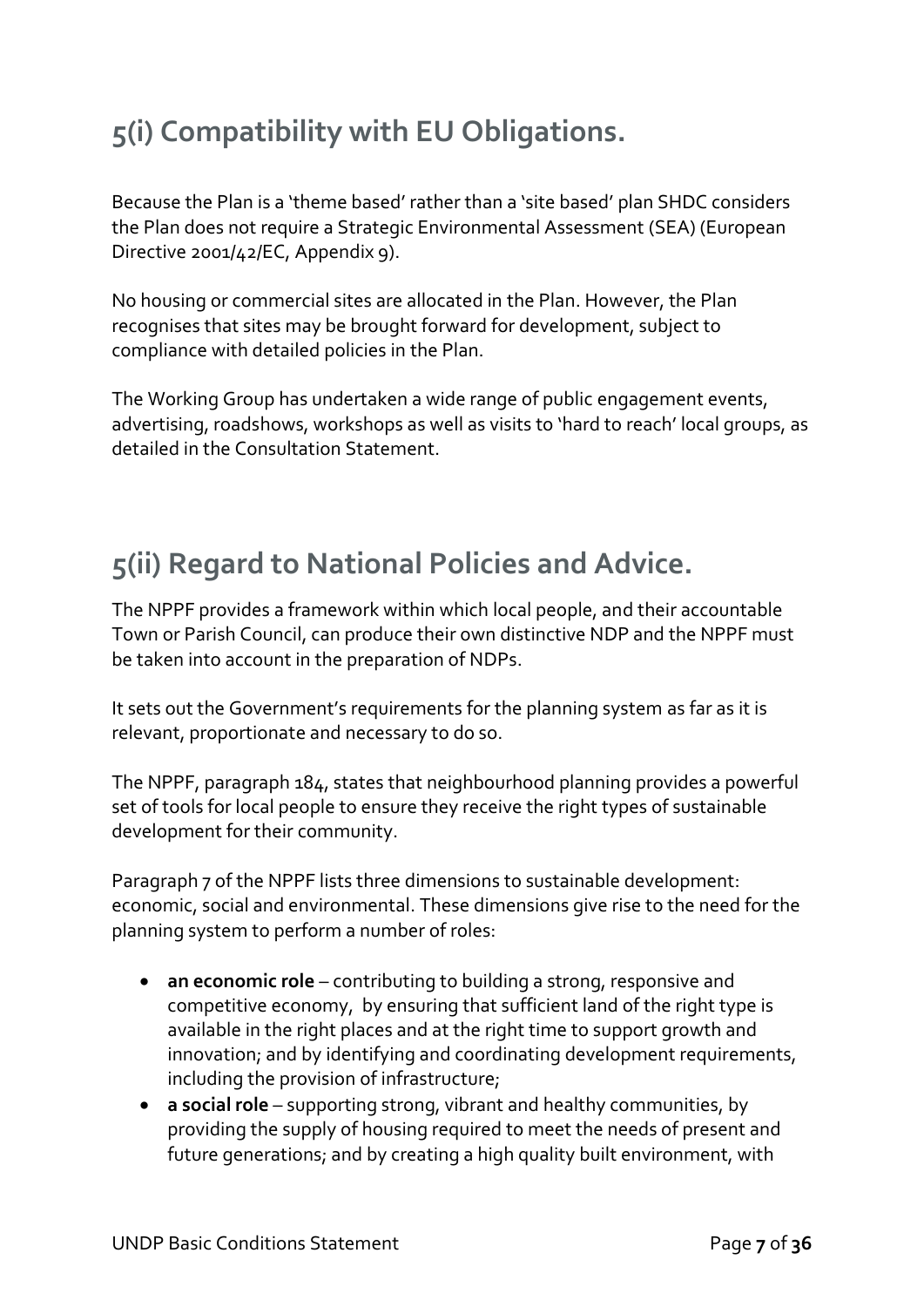### **5(i) Compatibility with EU Obligations.**

Because the Plan is a 'theme based' rather than a 'site based' plan SHDC considers the Plan does not require a Strategic Environmental Assessment (SEA) (European Directive 2001/42/EC, Appendix 9).

No housing or commercial sites are allocated in the Plan. However, the Plan recognises that sites may be brought forward for development, subject to compliance with detailed policies in the Plan.

The Working Group has undertaken a wide range of public engagement events, advertising, roadshows, workshops as well as visits to 'hard to reach' local groups, as detailed in the Consultation Statement.

### **5(ii) Regard to National Policies and Advice.**

The NPPF provides a framework within which local people, and their accountable Town or Parish Council, can produce their own distinctive NDP and the NPPF must be taken into account in the preparation of NDPs.

It sets out the Government's requirements for the planning system as far as it is relevant, proportionate and necessary to do so.

The NPPF, paragraph 184, states that neighbourhood planning provides a powerful set of tools for local people to ensure they receive the right types of sustainable development for their community.

Paragraph 7 of the NPPF lists three dimensions to sustainable development: economic, social and environmental. These dimensions give rise to the need for the planning system to perform a number of roles:

- **an economic role** contributing to building a strong, responsive and competitive economy, by ensuring that sufficient land of the right type is available in the right places and at the right time to support growth and innovation; and by identifying and coordinating development requirements, including the provision of infrastructure;
- **a social role**  supporting strong, vibrant and healthy communities, by providing the supply of housing required to meet the needs of present and future generations; and by creating a high quality built environment, with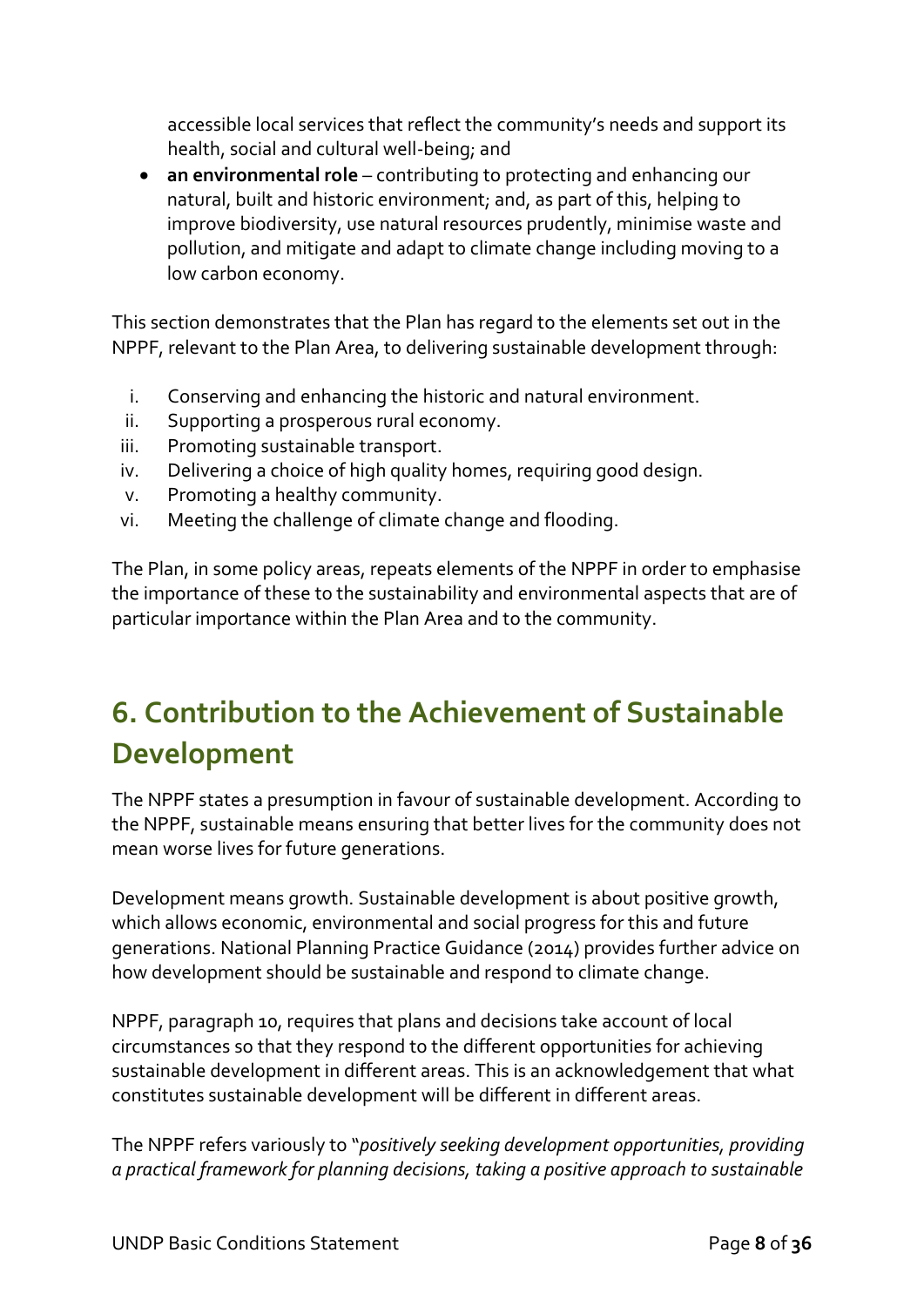accessible local services that reflect the community's needs and support its health, social and cultural well-being; and

• **an environmental role** – contributing to protecting and enhancing our natural, built and historic environment; and, as part of this, helping to improve biodiversity, use natural resources prudently, minimise waste and pollution, and mitigate and adapt to climate change including moving to a low carbon economy.

This section demonstrates that the Plan has regard to the elements set out in the NPPF, relevant to the Plan Area, to delivering sustainable development through:

- i. Conserving and enhancing the historic and natural environment.
- ii. Supporting a prosperous rural economy.
- iii. Promoting sustainable transport.
- iv. Delivering a choice of high quality homes, requiring good design.
- v. Promoting a healthy community.
- vi. Meeting the challenge of climate change and flooding.

The Plan, in some policy areas, repeats elements of the NPPF in order to emphasise the importance of these to the sustainability and environmental aspects that are of particular importance within the Plan Area and to the community.

### **6. Contribution to the Achievement of Sustainable Development**

The NPPF states a presumption in favour of sustainable development. According to the NPPF, sustainable means ensuring that better lives for the community does not mean worse lives for future generations.

Development means growth. Sustainable development is about positive growth, which allows economic, environmental and social progress for this and future generations. National Planning Practice Guidance (2014) provides further advice on how development should be sustainable and respond to climate change.

NPPF, paragraph 10, requires that plans and decisions take account of local circumstances so that they respond to the different opportunities for achieving sustainable development in different areas. This is an acknowledgement that what constitutes sustainable development will be different in different areas.

The NPPF refers variously to "*positively seeking development opportunities, providing a practical framework for planning decisions, taking a positive approach to sustainable*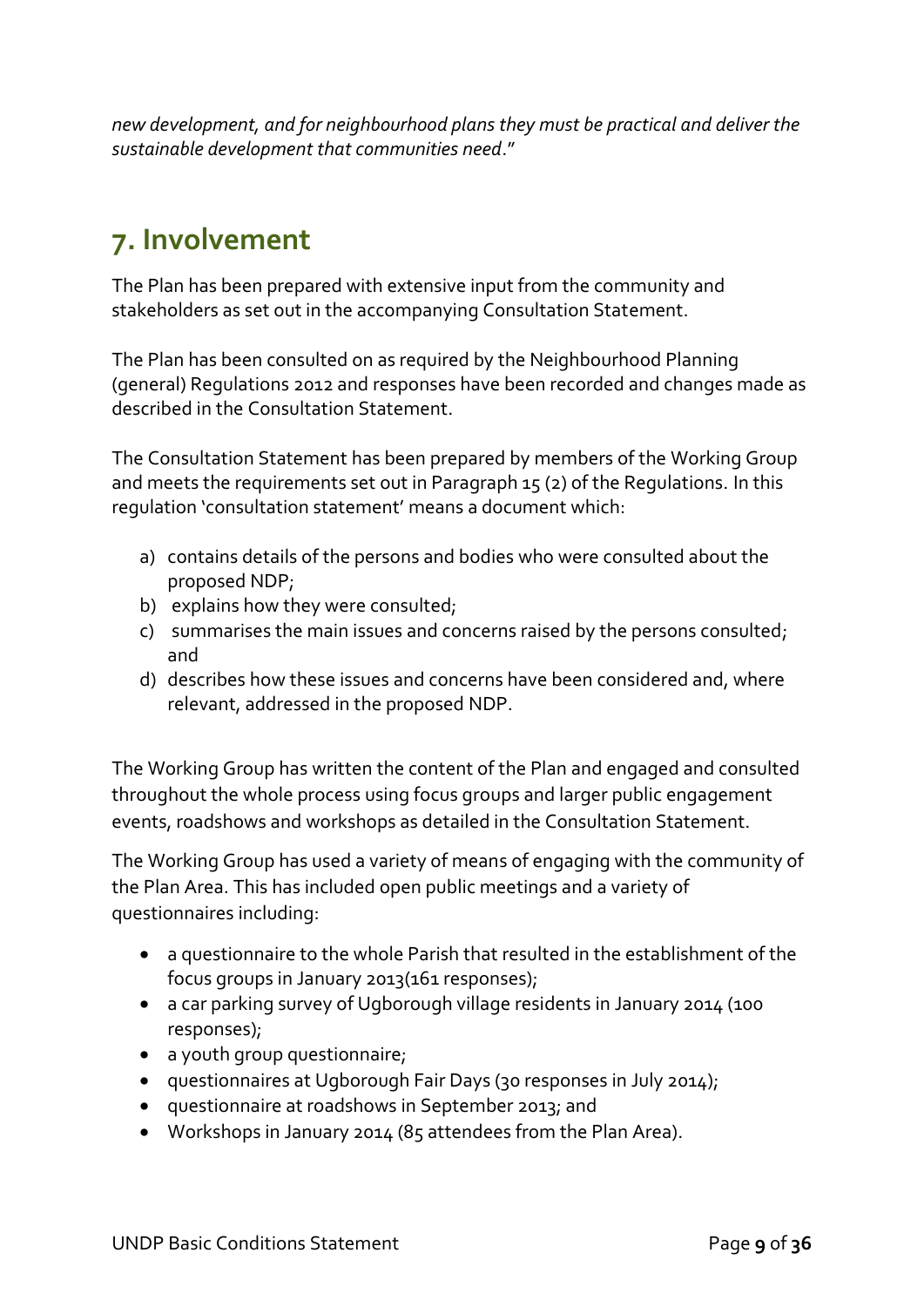*new development, and for neighbourhood plans they must be practical and deliver the sustainable development that communities need*."

### **7. Involvement**

The Plan has been prepared with extensive input from the community and stakeholders as set out in the accompanying Consultation Statement.

The Plan has been consulted on as required by the Neighbourhood Planning (general) Regulations 2012 and responses have been recorded and changes made as described in the Consultation Statement.

The Consultation Statement has been prepared by members of the Working Group and meets the requirements set out in Paragraph 15 (2) of the Regulations. In this regulation 'consultation statement' means a document which:

- a) contains details of the persons and bodies who were consulted about the proposed NDP;
- b) explains how they were consulted;
- c) summarises the main issues and concerns raised by the persons consulted; and
- d) describes how these issues and concerns have been considered and, where relevant, addressed in the proposed NDP.

The Working Group has written the content of the Plan and engaged and consulted throughout the whole process using focus groups and larger public engagement events, roadshows and workshops as detailed in the Consultation Statement.

The Working Group has used a variety of means of engaging with the community of the Plan Area. This has included open public meetings and a variety of questionnaires including:

- a questionnaire to the whole Parish that resulted in the establishment of the focus groups in January 2013(161 responses);
- a car parking survey of Ugborough village residents in January 2014 (100 responses);
- a youth group questionnaire;
- questionnaires at Ugborough Fair Days (30 responses in July 2014);
- questionnaire at roadshows in September 2013; and
- Workshops in January 2014 (85 attendees from the Plan Area).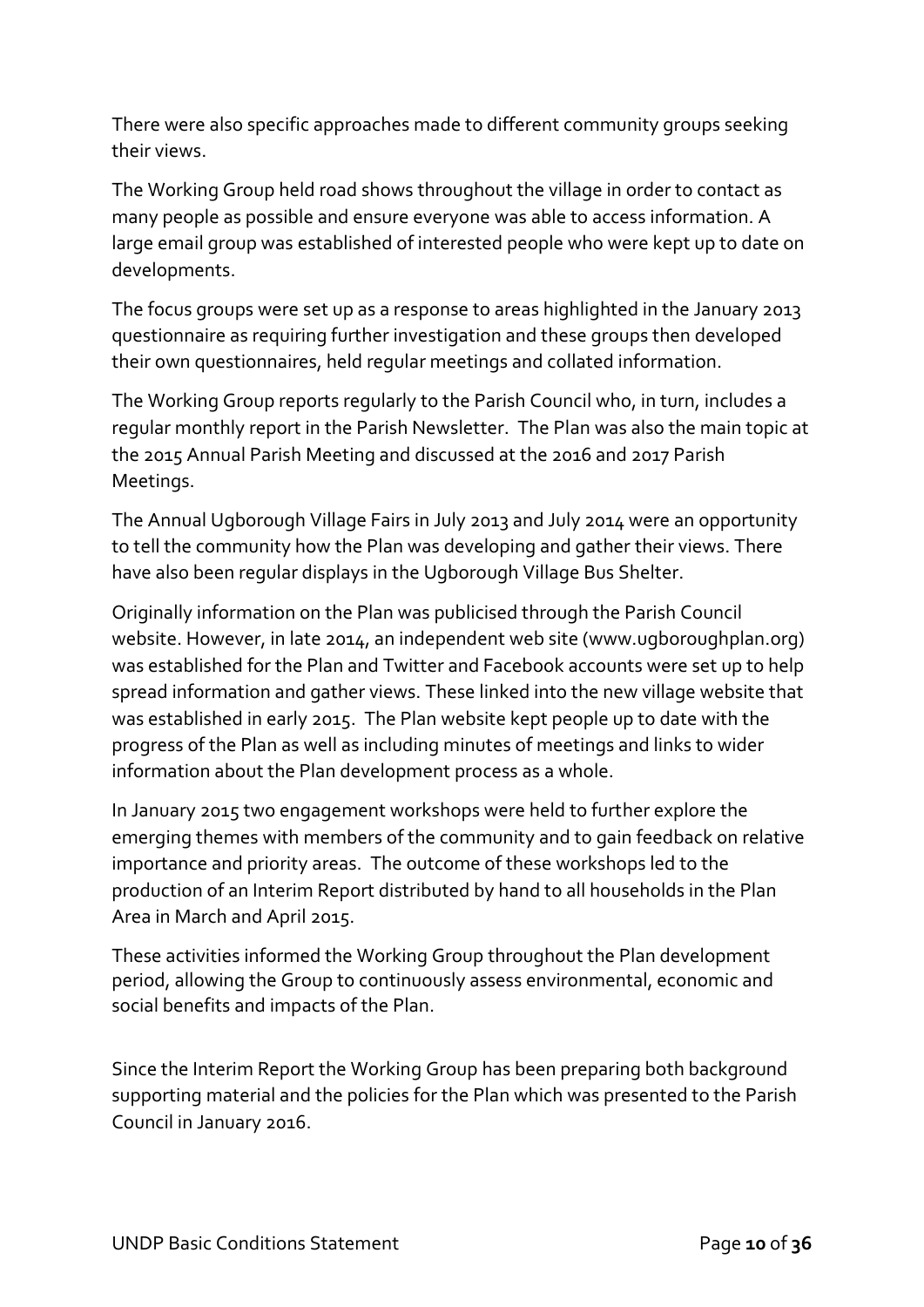There were also specific approaches made to different community groups seeking their views.

The Working Group held road shows throughout the village in order to contact as many people as possible and ensure everyone was able to access information. A large email group was established of interested people who were kept up to date on developments.

The focus groups were set up as a response to areas highlighted in the January 2013 questionnaire as requiring further investigation and these groups then developed their own questionnaires, held regular meetings and collated information.

The Working Group reports regularly to the Parish Council who, in turn, includes a regular monthly report in the Parish Newsletter. The Plan was also the main topic at the 2015 Annual Parish Meeting and discussed at the 2016 and 2017 Parish Meetings.

The Annual Ugborough Village Fairs in July 2013 and July 2014 were an opportunity to tell the community how the Plan was developing and gather their views. There have also been regular displays in the Ugborough Village Bus Shelter.

Originally information on the Plan was publicised through the Parish Council website. However, in late 2014, an independent web site [\(www.ugboroughplan.org\)](http://www.ugboroughplan.org/) was established for the Plan and Twitter and Facebook accounts were set up to help spread information and gather views. These linked into the new village website that was established in early 2015. The Plan website kept people up to date with the progress of the Plan as well as including minutes of meetings and links to wider information about the Plan development process as a whole.

In January 2015 two engagement workshops were held to further explore the emerging themes with members of the community and to gain feedback on relative importance and priority areas. The outcome of these workshops led to the production of an Interim Report distributed by hand to all households in the Plan Area in March and April 2015.

These activities informed the Working Group throughout the Plan development period, allowing the Group to continuously assess environmental, economic and social benefits and impacts of the Plan.

Since the Interim Report the Working Group has been preparing both background supporting material and the policies for the Plan which was presented to the Parish Council in January 2016.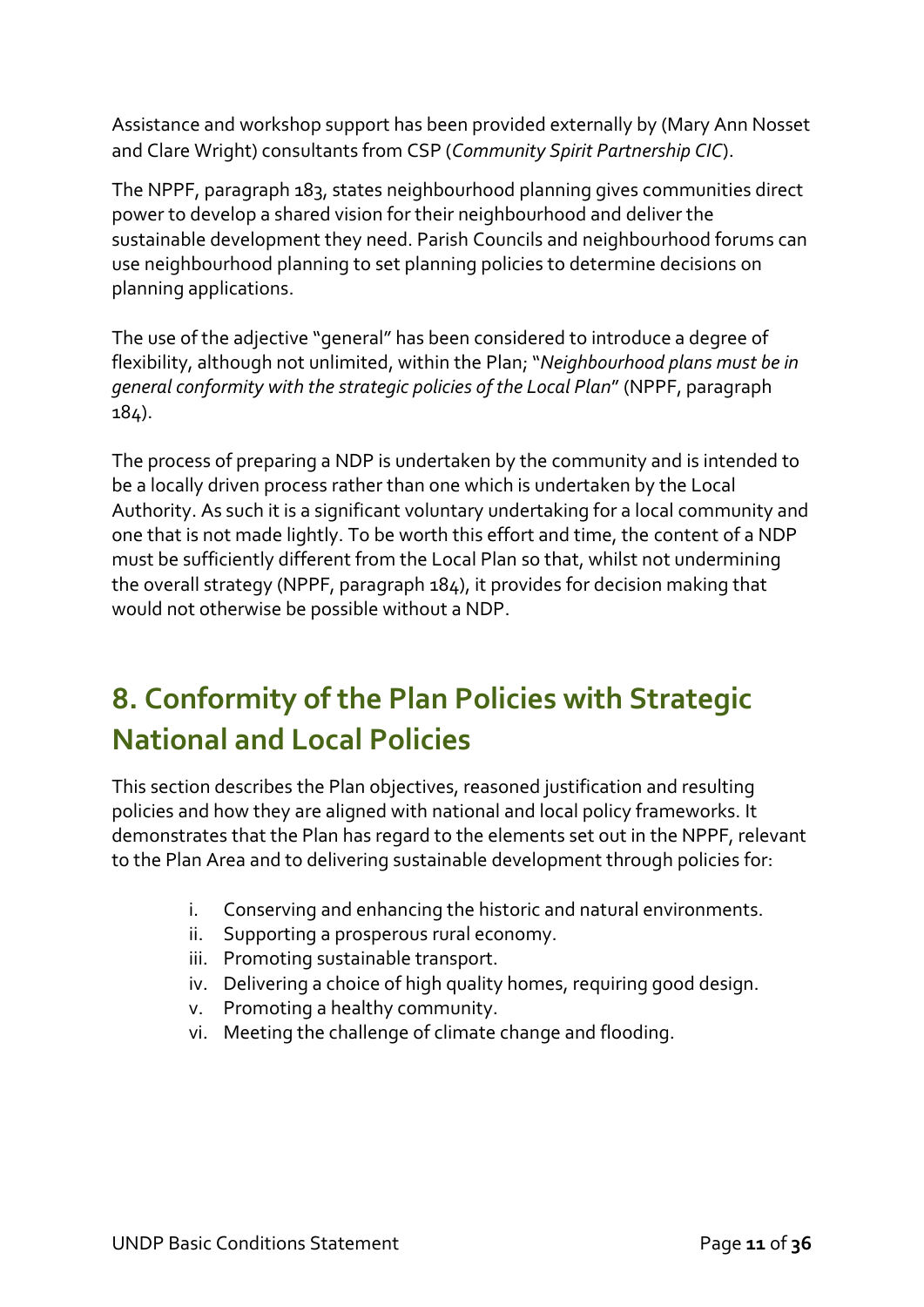Assistance and workshop support has been provided externally by (Mary Ann Nosset and Clare Wright) consultants from CSP (*Community Spirit Partnership CIC*).

The NPPF, paragraph 183, states neighbourhood planning gives communities direct power to develop a shared vision for their neighbourhood and deliver the sustainable development they need. Parish Councils and neighbourhood forums can use neighbourhood planning to set planning policies to determine decisions on planning applications.

The use of the adjective "general" has been considered to introduce a degree of flexibility, although not unlimited, within the Plan; "*Neighbourhood plans must be in general conformity with the strategic policies of the Local Plan*" (NPPF, paragraph 184).

The process of preparing a NDP is undertaken by the community and is intended to be a locally driven process rather than one which is undertaken by the Local Authority. As such it is a significant voluntary undertaking for a local community and one that is not made lightly. To be worth this effort and time, the content of a NDP must be sufficiently different from the Local Plan so that, whilst not undermining the overall strategy (NPPF, paragraph 184), it provides for decision making that would not otherwise be possible without a NDP.

### **8. Conformity of the Plan Policies with Strategic National and Local Policies**

This section describes the Plan objectives, reasoned justification and resulting policies and how they are aligned with national and local policy frameworks. It demonstrates that the Plan has regard to the elements set out in the NPPF, relevant to the Plan Area and to delivering sustainable development through policies for:

- i. Conserving and enhancing the historic and natural environments.
- ii. Supporting a prosperous rural economy.
- iii. Promoting sustainable transport.
- iv. Delivering a choice of high quality homes, requiring good design.
- v. Promoting a healthy community.
- vi. Meeting the challenge of climate change and flooding.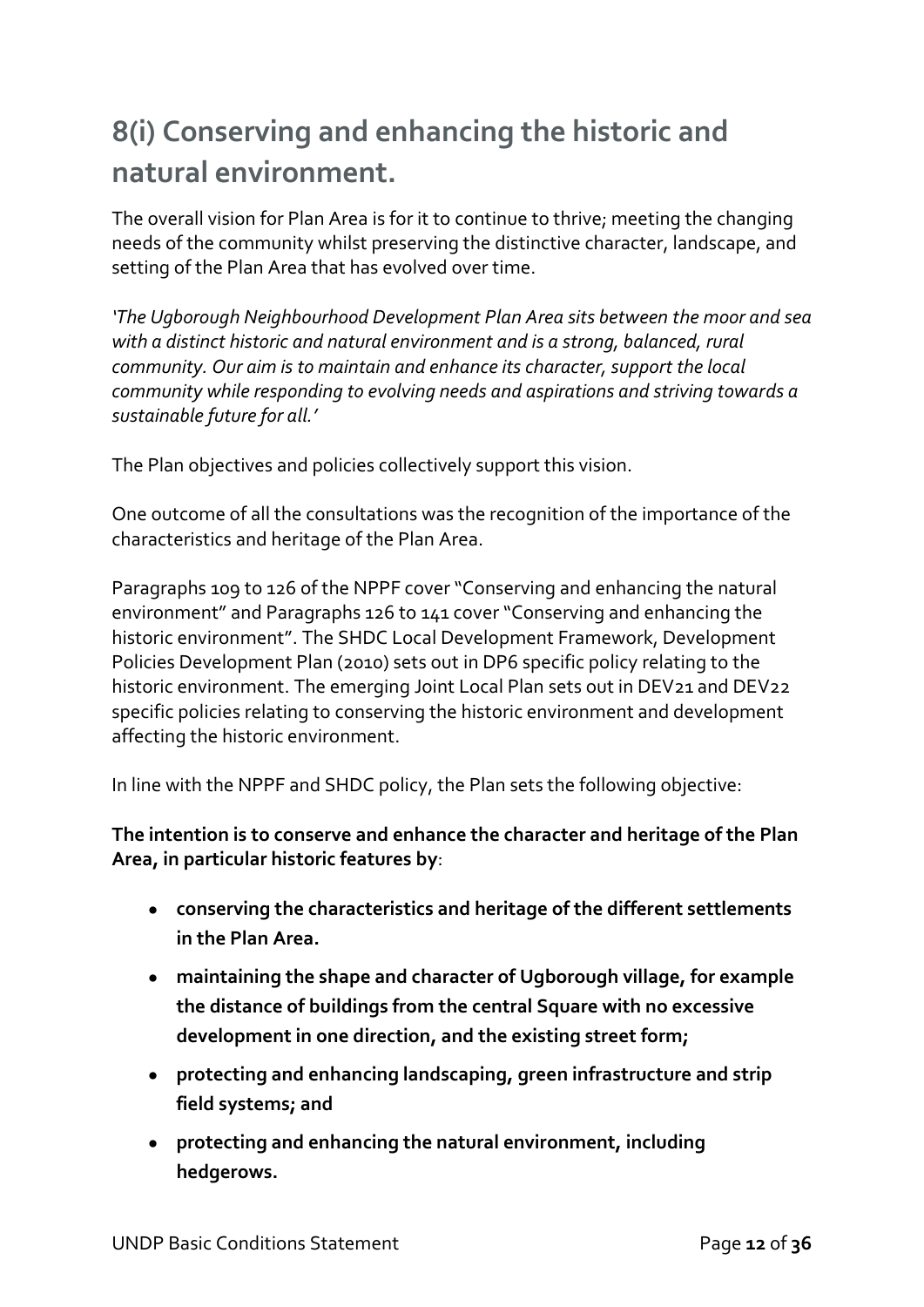### **8(i) Conserving and enhancing the historic and natural environment.**

The overall vision for Plan Area is for it to continue to thrive; meeting the changing needs of the community whilst preserving the distinctive character, landscape, and setting of the Plan Area that has evolved over time.

*'The Ugborough Neighbourhood Development Plan Area sits between the moor and sea with a distinct historic and natural environment and is a strong, balanced, rural community. Our aim is to maintain and enhance its character, support the local community while responding to evolving needs and aspirations and striving towards a sustainable future for all.'*

The Plan objectives and policies collectively support this vision.

One outcome of all the consultations was the recognition of the importance of the characteristics and heritage of the Plan Area.

Paragraphs 109 to 126 of the NPPF cover "Conserving and enhancing the natural environment" and Paragraphs 126 to 141 cover "Conserving and enhancing the historic environment". The SHDC Local Development Framework, Development Policies Development Plan (2010) sets out in DP6 specific policy relating to the historic environment. The emerging Joint Local Plan sets out in DEV21 and DEV22 specific policies relating to conserving the historic environment and development affecting the historic environment.

In line with the NPPF and SHDC policy, the Plan sets the following objective:

#### **The intention is to conserve and enhance the character and heritage of the Plan Area, in particular historic features by**:

- **conserving the characteristics and heritage of the different settlements in the Plan Area.**
- **maintaining the shape and character of Ugborough village, for example the distance of buildings from the central Square with no excessive development in one direction, and the existing street form;**
- **protecting and enhancing landscaping, green infrastructure and strip field systems; and**
- **protecting and enhancing the natural environment, including hedgerows.**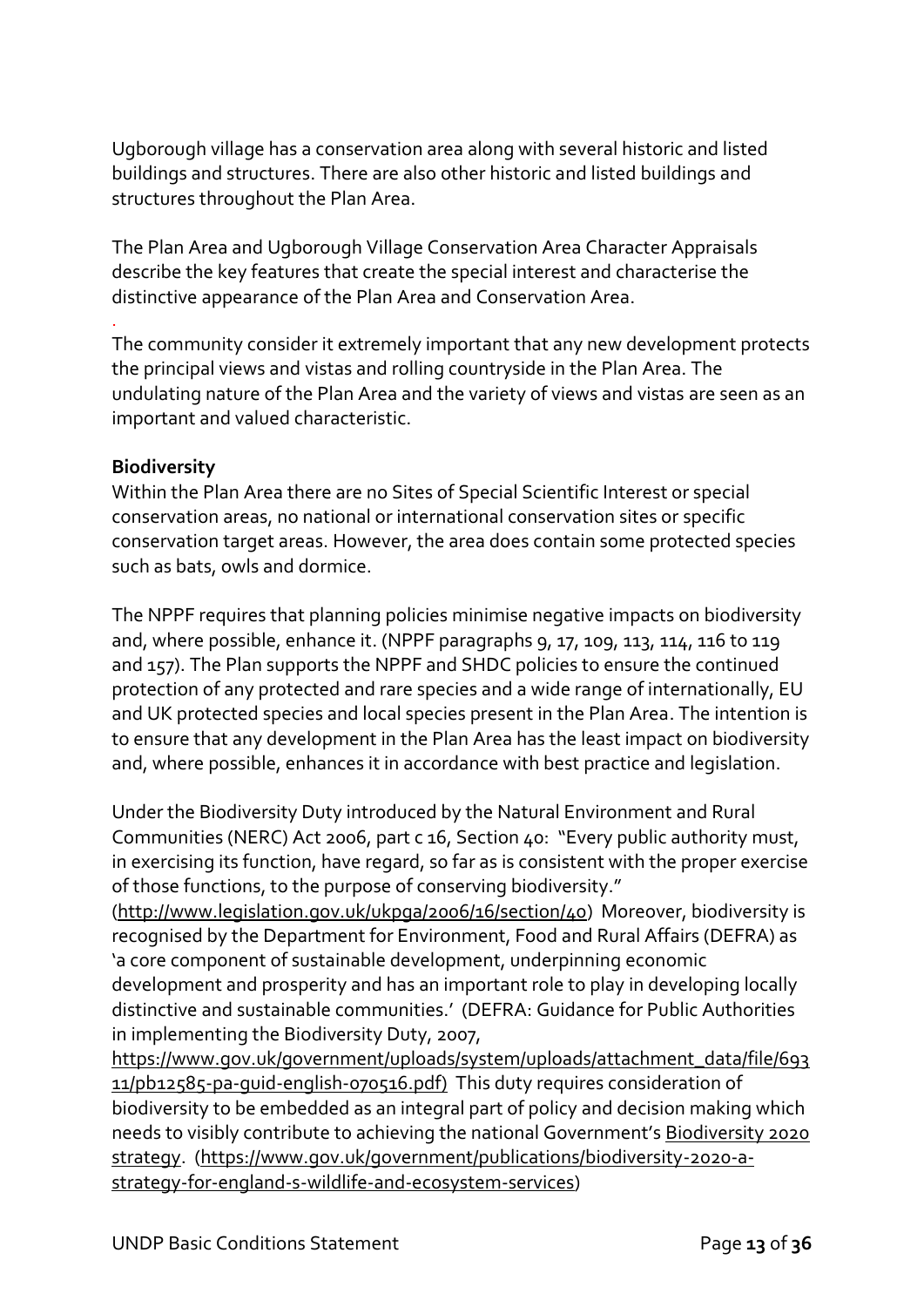Ugborough village has a conservation area along with several historic and listed buildings and structures. There are also other historic and listed buildings and structures throughout the Plan Area.

The Plan Area and Ugborough Village Conservation Area Character Appraisals describe the key features that create the special interest and characterise the distinctive appearance of the Plan Area and Conservation Area.

The community consider it extremely important that any new development protects the principal views and vistas and rolling countryside in the Plan Area. The undulating nature of the Plan Area and the variety of views and vistas are seen as an important and valued characteristic.

#### **Biodiversity**

.

Within the Plan Area there are no Sites of Special Scientific Interest or special conservation areas, no national or international conservation sites or specific conservation target areas. However, the area does contain some protected species such as bats, owls and dormice.

The NPPF requires that planning policies minimise negative impacts on biodiversity and, where possible, enhance it. (NPPF paragraphs 9, 17, 109, 113, 114, 116 to 119 and 157). The Plan supports the NPPF and SHDC policies to ensure the continued protection of any protected and rare species and a wide range of internationally, EU and UK protected species and local species present in the Plan Area. The intention is to ensure that any development in the Plan Area has the least impact on biodiversity and, where possible, enhances it in accordance with best practice and legislation.

Under the Biodiversity Duty introduced by the Natural Environment and Rural Communities (NERC) Act 2006, part c 16, Section 40: "Every public authority must, in exercising its function, have regard, so far as is consistent with the proper exercise of those functions, to the purpose of conserving biodiversity."

[\(http://www.legislation.gov.uk/ukpga/2006/16/section/40\)](http://www.legislation.gov.uk/ukpga/2006/16/section/40) Moreover, biodiversity is recognised by the Department for Environment, Food and Rural Affairs (DEFRA) as 'a core component of sustainable development, underpinning economic development and prosperity and has an important role to play in developing locally distinctive and sustainable communities.' (DEFRA: Guidance for Public Authorities in implementing the Biodiversity Duty, 2007,

[https://www.gov.uk/government/uploads/system/uploads/attachment\\_data/file/693](https://www.gov.uk/government/uploads/system/uploads/attachment_data/file/69311/pb12585-pa-guid-english-070516.pdf) [11/pb12585-pa-guid-english-070516.pdf\)](https://www.gov.uk/government/uploads/system/uploads/attachment_data/file/69311/pb12585-pa-guid-english-070516.pdf) This duty requires consideration of biodiversity to be embedded as an integral part of policy and decision making which needs to visibly contribute to achieving the national Government's [Biodiversity 2020](https://www.gov.uk/government/publications/biodiversity-2020-a-strategy-for-england-s-wildlife-and-ecosystem-services)  [strategy.](https://www.gov.uk/government/publications/biodiversity-2020-a-strategy-for-england-s-wildlife-and-ecosystem-services) [\(https://www.gov.uk/government/publications/biodiversity-2020-a](https://www.gov.uk/government/publications/biodiversity-2020-a-strategy-for-england-s-wildlife-and-ecosystem-services)[strategy-for-england-s-wildlife-and-ecosystem-services\)](https://www.gov.uk/government/publications/biodiversity-2020-a-strategy-for-england-s-wildlife-and-ecosystem-services)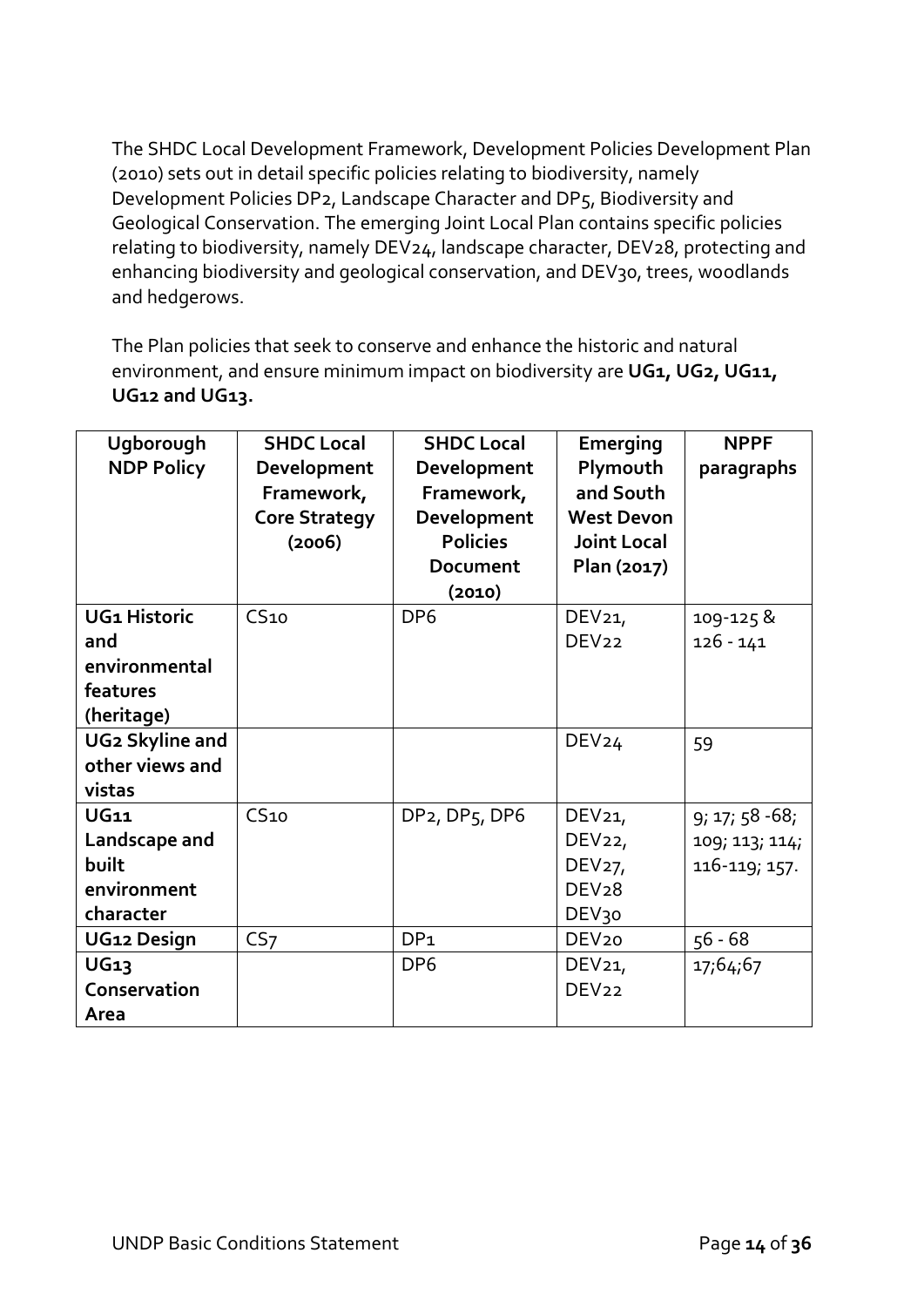The SHDC Local Development Framework, Development Policies Development Plan (2010) sets out in detail specific policies relating to biodiversity, namely Development Policies DP2, Landscape Character and DP5, Biodiversity and Geological Conservation. The emerging Joint Local Plan contains specific policies relating to biodiversity, namely DEV24, landscape character, DEV28, protecting and enhancing biodiversity and geological conservation, and DEV30, trees, woodlands and hedgerows.

The Plan policies that seek to conserve and enhance the historic and natural environment, and ensure minimum impact on biodiversity are UG1, UG2, UG11, **UG12 and UG13.**

| Ugborough<br><b>NDP Policy</b>                                        | <b>SHDC Local</b><br>Development<br>Framework,<br><b>Core Strategy</b><br>(2006) | <b>SHDC Local</b><br>Development<br>Framework,<br>Development<br><b>Policies</b><br>Document<br>(2010) | <b>Emerging</b><br>Plymouth<br>and South<br><b>West Devon</b><br><b>Joint Local</b><br>Plan (2017)      | <b>NPPF</b><br>paragraphs                            |
|-----------------------------------------------------------------------|----------------------------------------------------------------------------------|--------------------------------------------------------------------------------------------------------|---------------------------------------------------------------------------------------------------------|------------------------------------------------------|
| <b>UG1 Historic</b><br>and<br>environmental<br>features<br>(heritage) | CS <sub>10</sub>                                                                 | DP <sub>6</sub>                                                                                        | DEV <sub>21</sub><br>DEV <sub>22</sub>                                                                  | 109-125 &<br>$126 - 141$                             |
| <b>UG2 Skyline and</b><br>other views and<br>vistas                   |                                                                                  |                                                                                                        | DEV <sub>24</sub>                                                                                       | 59                                                   |
| <b>UG11</b><br>Landscape and<br>built<br>environment<br>character     | CS <sub>10</sub>                                                                 | DP <sub>2</sub> , DP <sub>5</sub> , DP <sub>6</sub>                                                    | DEV <sub>21</sub><br>DEV <sub>22</sub><br>DEV <sub>27</sub> ,<br>DEV <sub>28</sub><br>DEV <sub>30</sub> | $9; 17; 58 - 68;$<br>109; 113; 114;<br>116-119; 157. |
| UG12 Design                                                           | CS <sub>7</sub>                                                                  | DP <sub>1</sub>                                                                                        | DEV <sub>20</sub>                                                                                       | $56 - 68$                                            |
| <b>UG13</b><br>Conservation<br>Area                                   |                                                                                  | DP <sub>6</sub>                                                                                        | DEV <sub>21</sub><br>DEV <sub>22</sub>                                                                  | 17;64;67                                             |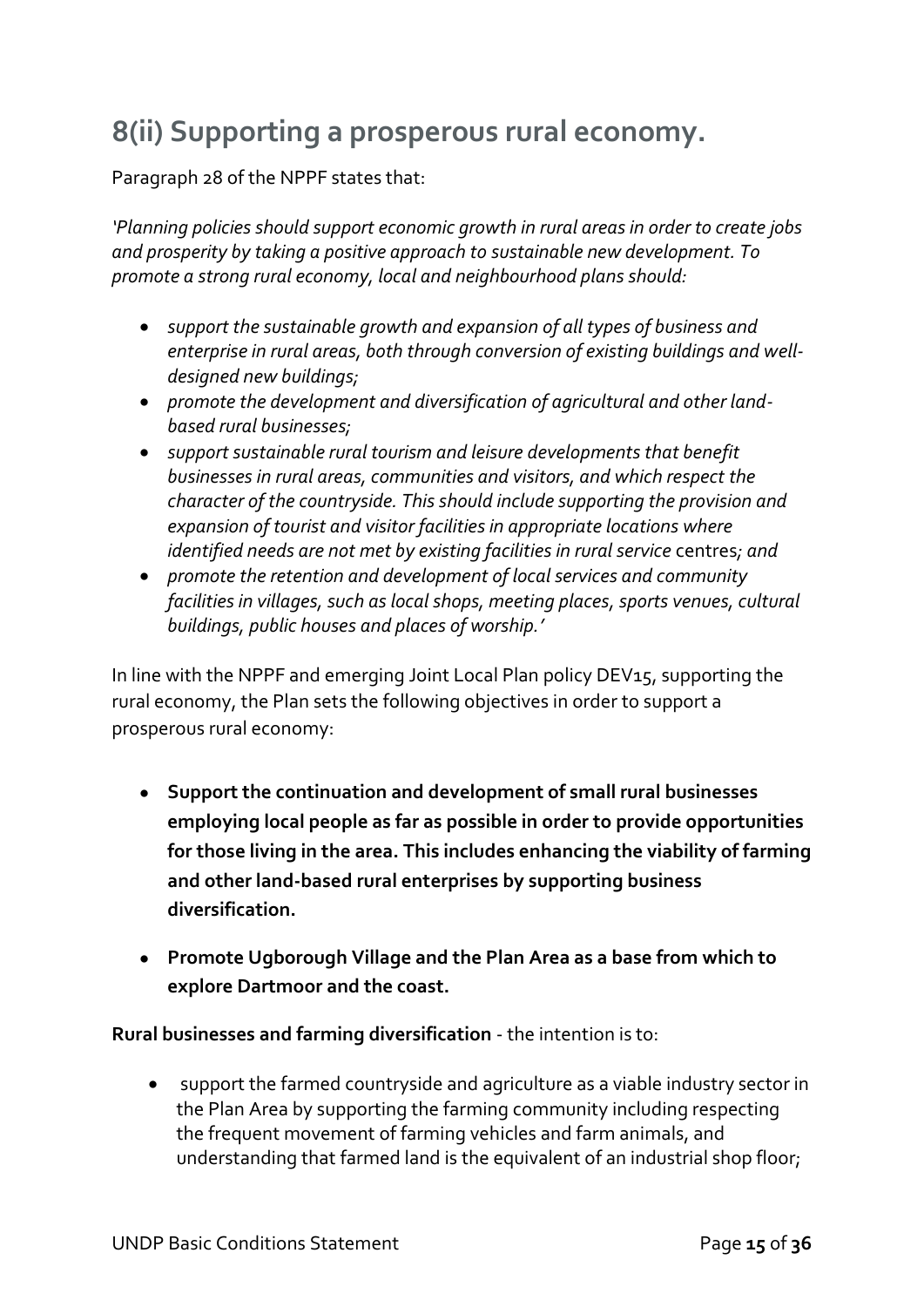### **8(ii) Supporting a prosperous rural economy.**

Paragraph 28 of the NPPF states that:

*'Planning policies should support economic growth in rural areas in order to create jobs and prosperity by taking a positive approach to sustainable new development. To promote a strong rural economy, local and neighbourhood plans should:*

- *support the sustainable growth and expansion of all types of business and enterprise in rural areas, both through conversion of existing buildings and welldesigned new buildings;*
- *promote the development and diversification of agricultural and other landbased rural businesses;*
- *support sustainable rural tourism and leisure developments that benefit businesses in rural areas, communities and visitors, and which respect the character of the countryside. This should include supporting the provision and expansion of tourist and visitor facilities in appropriate locations where identified needs are not met by existing facilities in rural service centres; and*
- *promote the retention and development of local services and community facilities in villages, such as local shops, meeting places, sports venues, cultural buildings, public houses and places of worship.'*

In line with the NPPF and emerging Joint Local Plan policy DEV15, supporting the rural economy, the Plan sets the following objectives in order to support a prosperous rural economy:

- **Support the continuation and development of small rural businesses employing local people as far as possible in order to provide opportunities for those living in the area. This includes enhancing the viability of farming and other land-based rural enterprises by supporting business diversification.**
- **Promote Ugborough Village and the Plan Area as a base from which to explore Dartmoor and the coast.**

**Rural businesses and farming diversification** - the intention is to:

• support the farmed countryside and agriculture as a viable industry sector in the Plan Area by supporting the farming community including respecting the frequent movement of farming vehicles and farm animals, and understanding that farmed land is the equivalent of an industrial shop floor;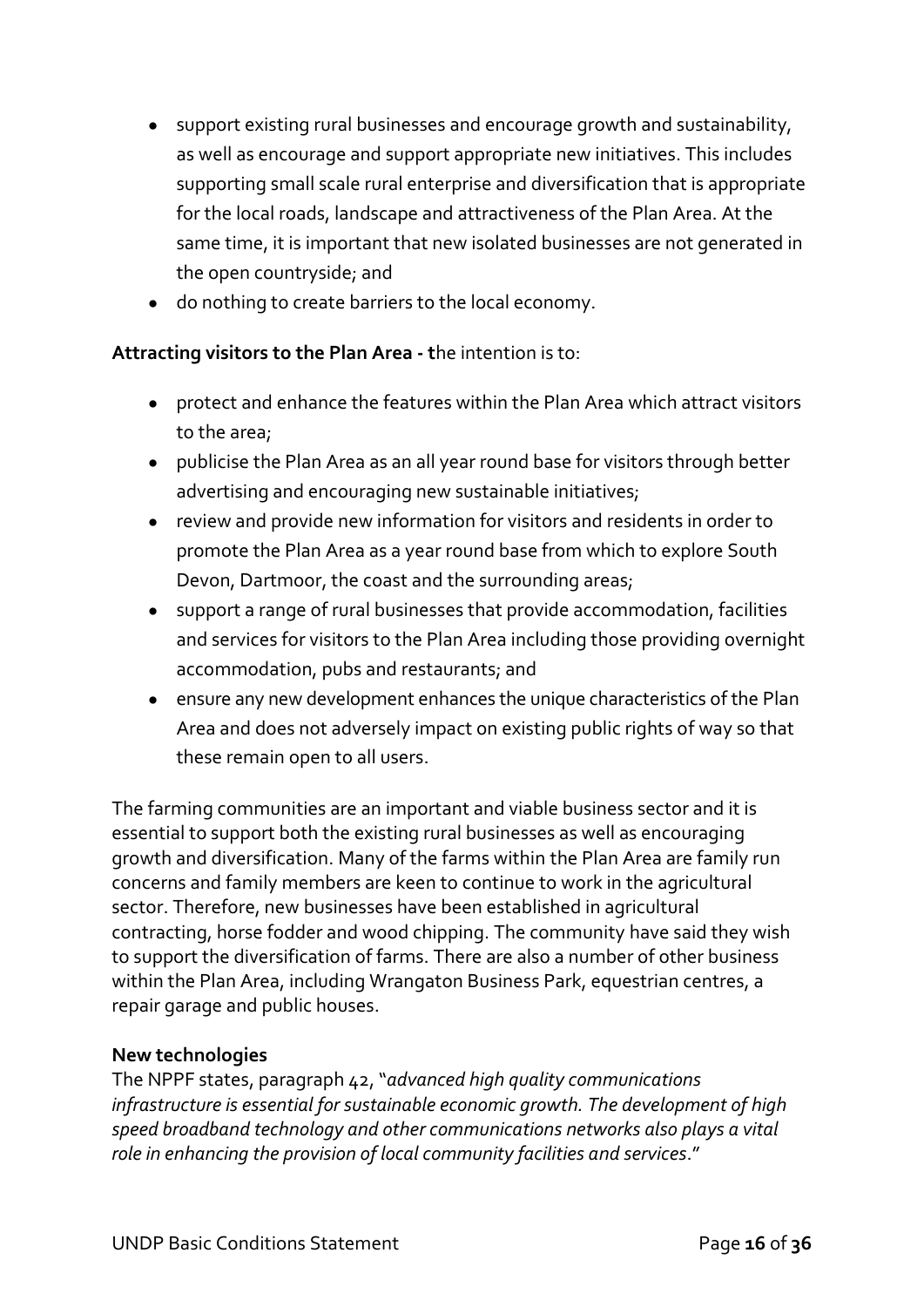- support existing rural businesses and encourage growth and sustainability, as well as encourage and support appropriate new initiatives. This includes supporting small scale rural enterprise and diversification that is appropriate for the local roads, landscape and attractiveness of the Plan Area. At the same time, it is important that new isolated businesses are not generated in the open countryside; and
- do nothing to create barriers to the local economy.

#### **Attracting visitors to the Plan Area - t**he intention is to:

- protect and enhance the features within the Plan Area which attract visitors to the area;
- publicise the Plan Area as an all year round base for visitors through better advertising and encouraging new sustainable initiatives;
- review and provide new information for visitors and residents in order to promote the Plan Area as a year round base from which to explore South Devon, Dartmoor, the coast and the surrounding areas;
- support a range of rural businesses that provide accommodation, facilities and services for visitors to the Plan Area including those providing overnight accommodation, pubs and restaurants; and
- ensure any new development enhances the unique characteristics of the Plan Area and does not adversely impact on existing public rights of way so that these remain open to all users.

The farming communities are an important and viable business sector and it is essential to support both the existing rural businesses as well as encouraging growth and diversification. Many of the farms within the Plan Area are family run concerns and family members are keen to continue to work in the agricultural sector. Therefore, new businesses have been established in agricultural contracting, horse fodder and wood chipping. The community have said they wish to support the diversification of farms. There are also a number of other business within the Plan Area, including Wrangaton Business Park, equestrian centres, a repair garage and public houses.

#### **New technologies**

The NPPF states, paragraph 42, "*advanced high quality communications infrastructure is essential for sustainable economic growth. The development of high speed broadband technology and other communications networks also plays a vital role in enhancing the provision of local community facilities and services*."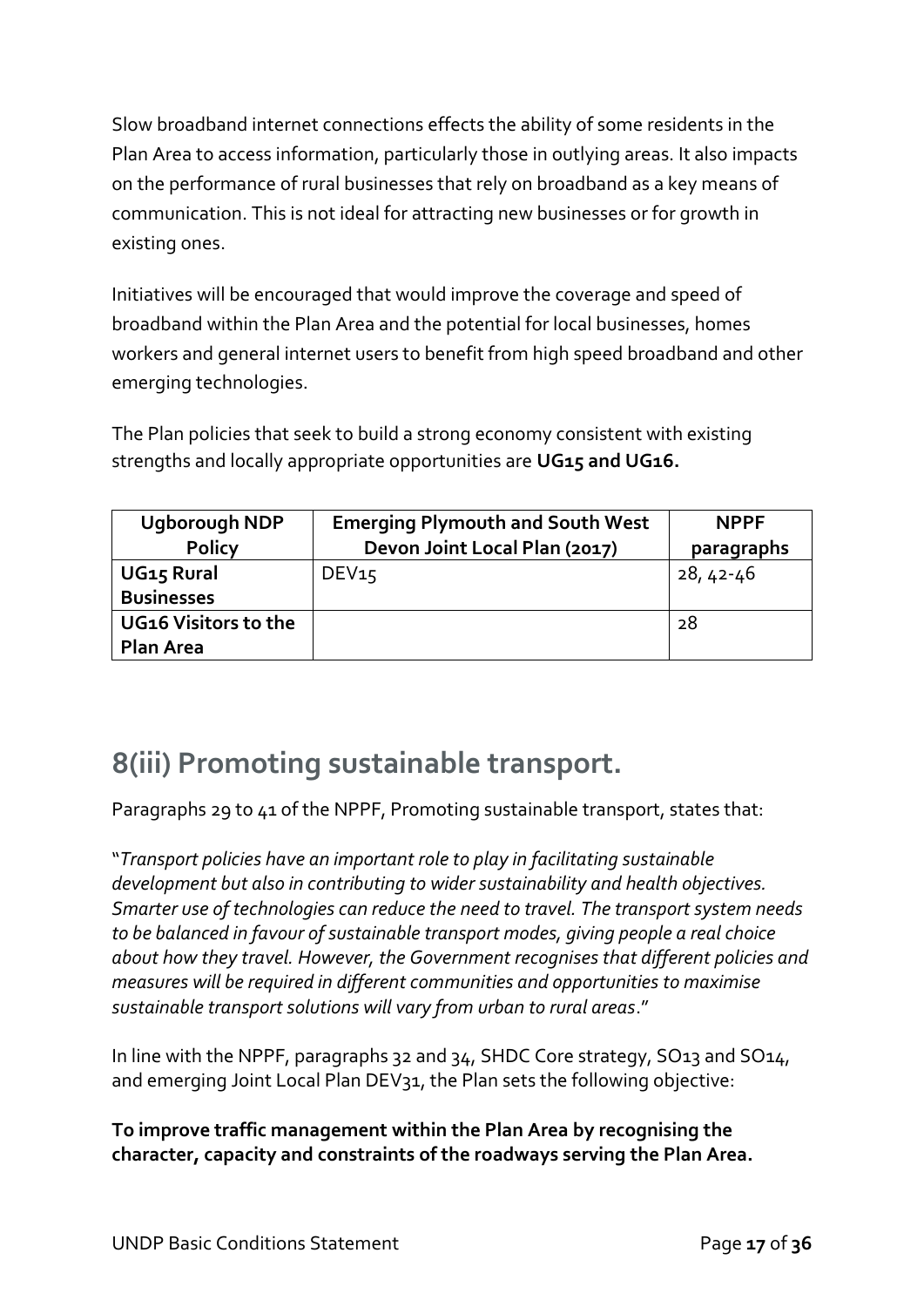Slow broadband internet connections effects the ability of some residents in the Plan Area to access information, particularly those in outlying areas. It also impacts on the performance of rural businesses that rely on broadband as a key means of communication. This is not ideal for attracting new businesses or for growth in existing ones.

Initiatives will be encouraged that would improve the coverage and speed of broadband within the Plan Area and the potential for local businesses, homes workers and general internet users to benefit from high speed broadband and other emerging technologies.

The Plan policies that seek to build a strong economy consistent with existing strengths and locally appropriate opportunities are **UG15 and UG16.**

| <b>Ugborough NDP</b>   | <b>Emerging Plymouth and South West</b> | <b>NPPF</b> |
|------------------------|-----------------------------------------|-------------|
| <b>Policy</b>          | Devon Joint Local Plan (2017)           | paragraphs  |
| UG <sub>15</sub> Rural | DEV15                                   | $28,42-46$  |
| <b>Businesses</b>      |                                         |             |
| UG16 Visitors to the   |                                         | 28          |
| <b>Plan Area</b>       |                                         |             |

### **8(iii) Promoting sustainable transport.**

Paragraphs 29 to 41 of the NPPF, Promoting sustainable transport, states that:

"*Transport policies have an important role to play in facilitating sustainable development but also in contributing to wider sustainability and health objectives. Smarter use of technologies can reduce the need to travel. The transport system needs to be balanced in favour of sustainable transport modes, giving people a real choice about how they travel. However, the Government recognises that different policies and measures will be required in different communities and opportunities to maximise sustainable transport solutions will vary from urban to rural areas*."

In line with the NPPF, paragraphs 32 and 34, SHDC Core strategy, SO13 and SO14, and emerging Joint Local Plan DEV31, the Plan sets the following objective:

**To improve traffic management within the Plan Area by recognising the character, capacity and constraints of the roadways serving the Plan Area.**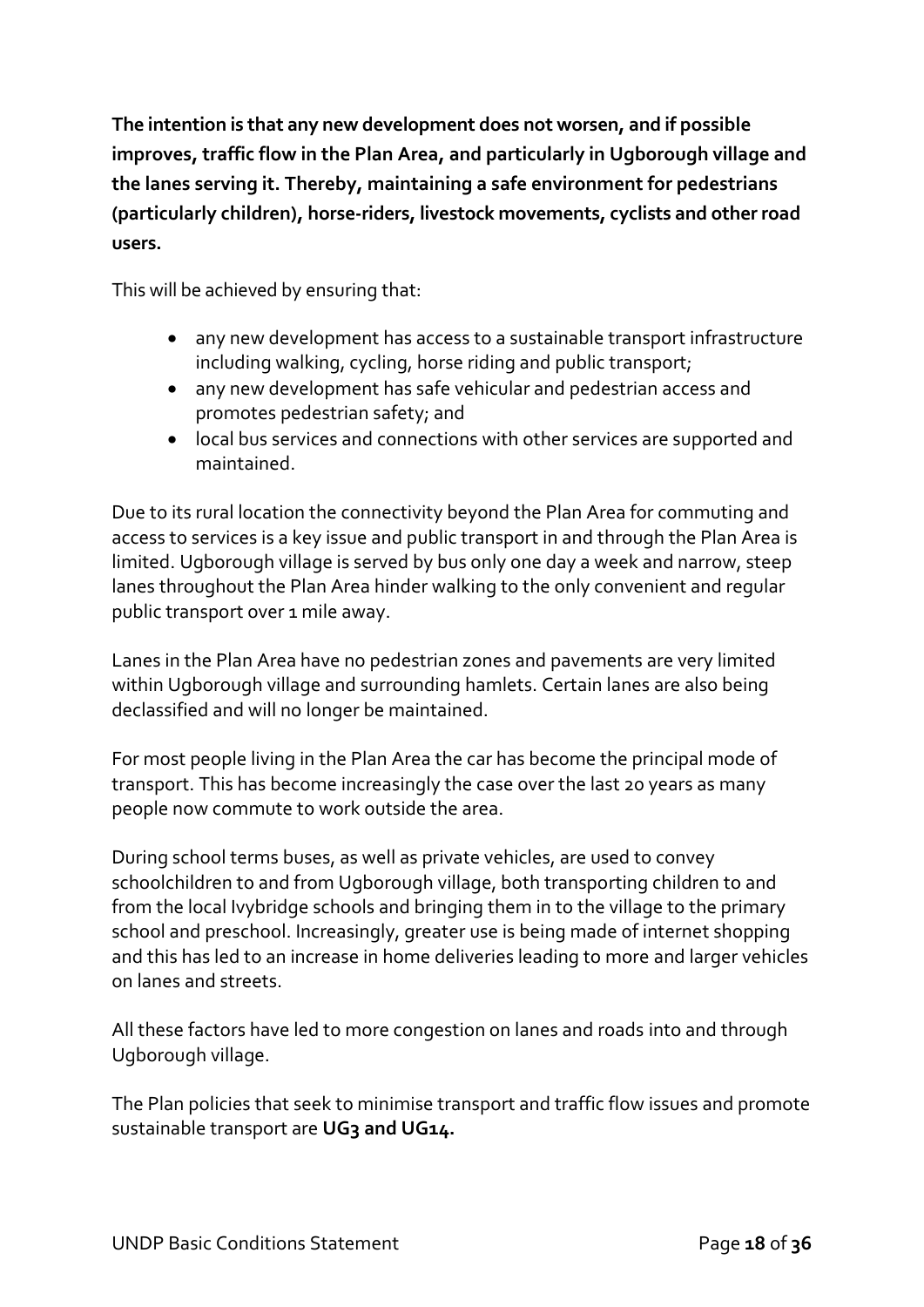**The intention is that any new development does not worsen, and if possible improves, traffic flow in the Plan Area, and particularly in Ugborough village and the lanes serving it. Thereby, maintaining a safe environment for pedestrians (particularly children), horse-riders, livestock movements, cyclists and other road users.** 

This will be achieved by ensuring that:

- any new development has access to a sustainable transport infrastructure including walking, cycling, horse riding and public transport;
- any new development has safe vehicular and pedestrian access and promotes pedestrian safety; and
- local bus services and connections with other services are supported and maintained.

Due to its rural location the connectivity beyond the Plan Area for commuting and access to services is a key issue and public transport in and through the Plan Area is limited. Ugborough village is served by bus only one day a week and narrow, steep lanes throughout the Plan Area hinder walking to the only convenient and regular public transport over 1 mile away.

Lanes in the Plan Area have no pedestrian zones and pavements are very limited within Ugborough village and surrounding hamlets. Certain lanes are also being declassified and will no longer be maintained.

For most people living in the Plan Area the car has become the principal mode of transport. This has become increasingly the case over the last 20 years as many people now commute to work outside the area.

During school terms buses, as well as private vehicles, are used to convey schoolchildren to and from Ugborough village, both transporting children to and from the local Ivybridge schools and bringing them in to the village to the primary school and preschool. Increasingly, greater use is being made of internet shopping and this has led to an increase in home deliveries leading to more and larger vehicles on lanes and streets.

All these factors have led to more congestion on lanes and roads into and through Ugborough village.

The Plan policies that seek to minimise transport and traffic flow issues and promote sustainable transport are **UG3 and UG14.**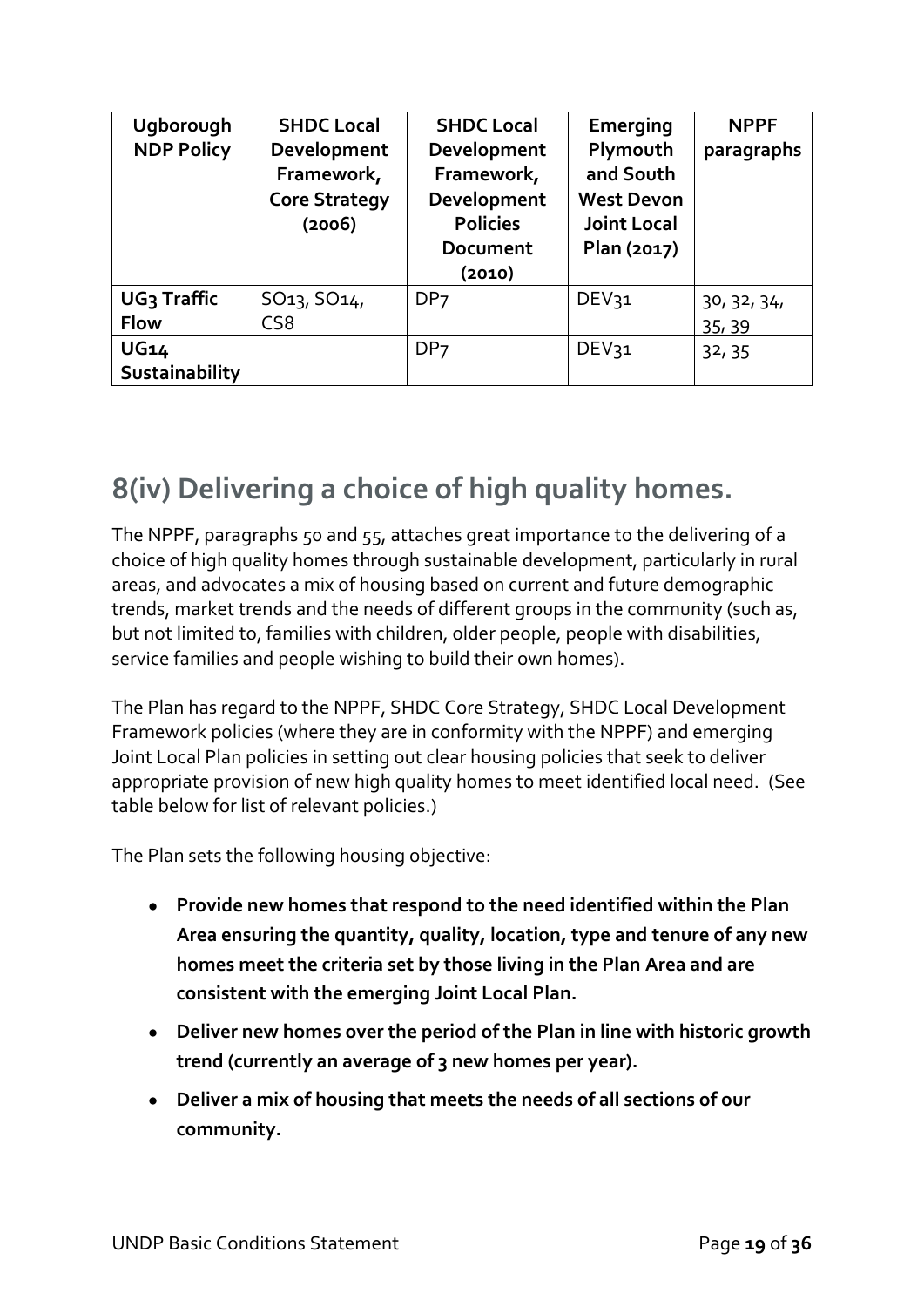| Ugborough               | <b>SHDC Local</b>                                           | <b>SHDC Local</b>                                                                 | Emerging                                                                        | <b>NPPF</b> |
|-------------------------|-------------------------------------------------------------|-----------------------------------------------------------------------------------|---------------------------------------------------------------------------------|-------------|
| <b>NDP Policy</b>       | Development<br>Framework,<br><b>Core Strategy</b><br>(2006) | Development<br>Framework,<br>Development<br><b>Policies</b><br>Document<br>(2010) | Plymouth<br>and South<br><b>West Devon</b><br><b>Joint Local</b><br>Plan (2017) | paragraphs  |
| UG <sub>3</sub> Traffic | SO <sub>13</sub> , SO <sub>14</sub> ,                       | DP <sub>7</sub>                                                                   | DEV31                                                                           | 30, 32, 34, |
| <b>Flow</b>             | CS <sub>8</sub>                                             |                                                                                   |                                                                                 | 35, 39      |
| <b>UG14</b>             |                                                             | DP <sub>7</sub>                                                                   | DEV31                                                                           | 32, 35      |
| Sustainability          |                                                             |                                                                                   |                                                                                 |             |

### **8(iv) Delivering a choice of high quality homes.**

The NPPF, paragraphs 50 and 55, attaches great importance to the delivering of a choice of high quality homes through sustainable development, particularly in rural areas, and advocates a mix of housing based on current and future demographic trends, market trends and the needs of different groups in the community (such as, but not limited to, families with children, older people, people with disabilities, service families and people wishing to build their own homes).

The Plan has regard to the NPPF, SHDC Core Strategy, SHDC Local Development Framework policies (where they are in conformity with the NPPF) and emerging Joint Local Plan policies in setting out clear housing policies that seek to deliver appropriate provision of new high quality homes to meet identified local need. (See table below for list of relevant policies.)

The Plan sets the following housing objective:

- **Provide new homes that respond to the need identified within the Plan Area ensuring the quantity, quality, location, type and tenure of any new homes meet the criteria set by those living in the Plan Area and are consistent with the emerging Joint Local Plan.**
- **Deliver new homes over the period of the Plan in line with historic growth trend (currently an average of 3 new homes per year).**
- **Deliver a mix of housing that meets the needs of all sections of our community.**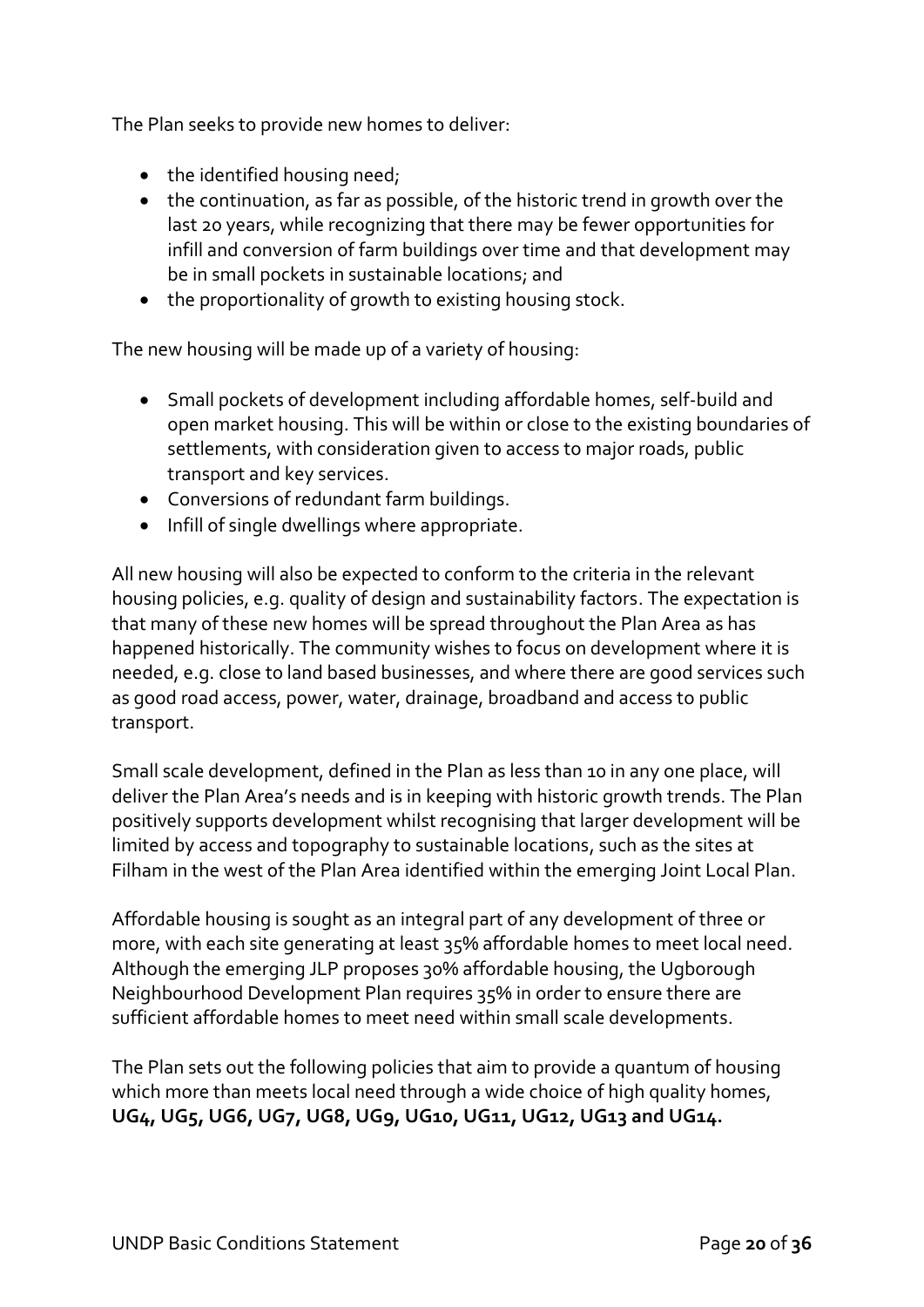The Plan seeks to provide new homes to deliver:

- the identified housing need;
- the continuation, as far as possible, of the historic trend in growth over the last 20 years, while recognizing that there may be fewer opportunities for infill and conversion of farm buildings over time and that development may be in small pockets in sustainable locations; and
- the proportionality of growth to existing housing stock.

The new housing will be made up of a variety of housing:

- Small pockets of development including affordable homes, self-build and open market housing. This will be within or close to the existing boundaries of settlements, with consideration given to access to major roads, public transport and key services.
- Conversions of redundant farm buildings.
- Infill of single dwellings where appropriate.

All new housing will also be expected to conform to the criteria in the relevant housing policies, e.g. quality of design and sustainability factors. The expectation is that many of these new homes will be spread throughout the Plan Area as has happened historically. The community wishes to focus on development where it is needed, e.g. close to land based businesses, and where there are good services such as good road access, power, water, drainage, broadband and access to public transport.

Small scale development, defined in the Plan as less than 10 in any one place, will deliver the Plan Area's needs and is in keeping with historic growth trends. The Plan positively supports development whilst recognising that larger development will be limited by access and topography to sustainable locations, such as the sites at Filham in the west of the Plan Area identified within the emerging Joint Local Plan.

Affordable housing is sought as an integral part of any development of three or more, with each site generating at least 35% affordable homes to meet local need. Although the emerging JLP proposes 30% affordable housing, the Ugborough Neighbourhood Development Plan requires 35% in order to ensure there are sufficient affordable homes to meet need within small scale developments.

The Plan sets out the following policies that aim to provide a quantum of housing which more than meets local need through a wide choice of high quality homes, **UG4, UG5, UG6, UG7, UG8, UG9, UG10, UG11, UG12, UG13 and UG14.**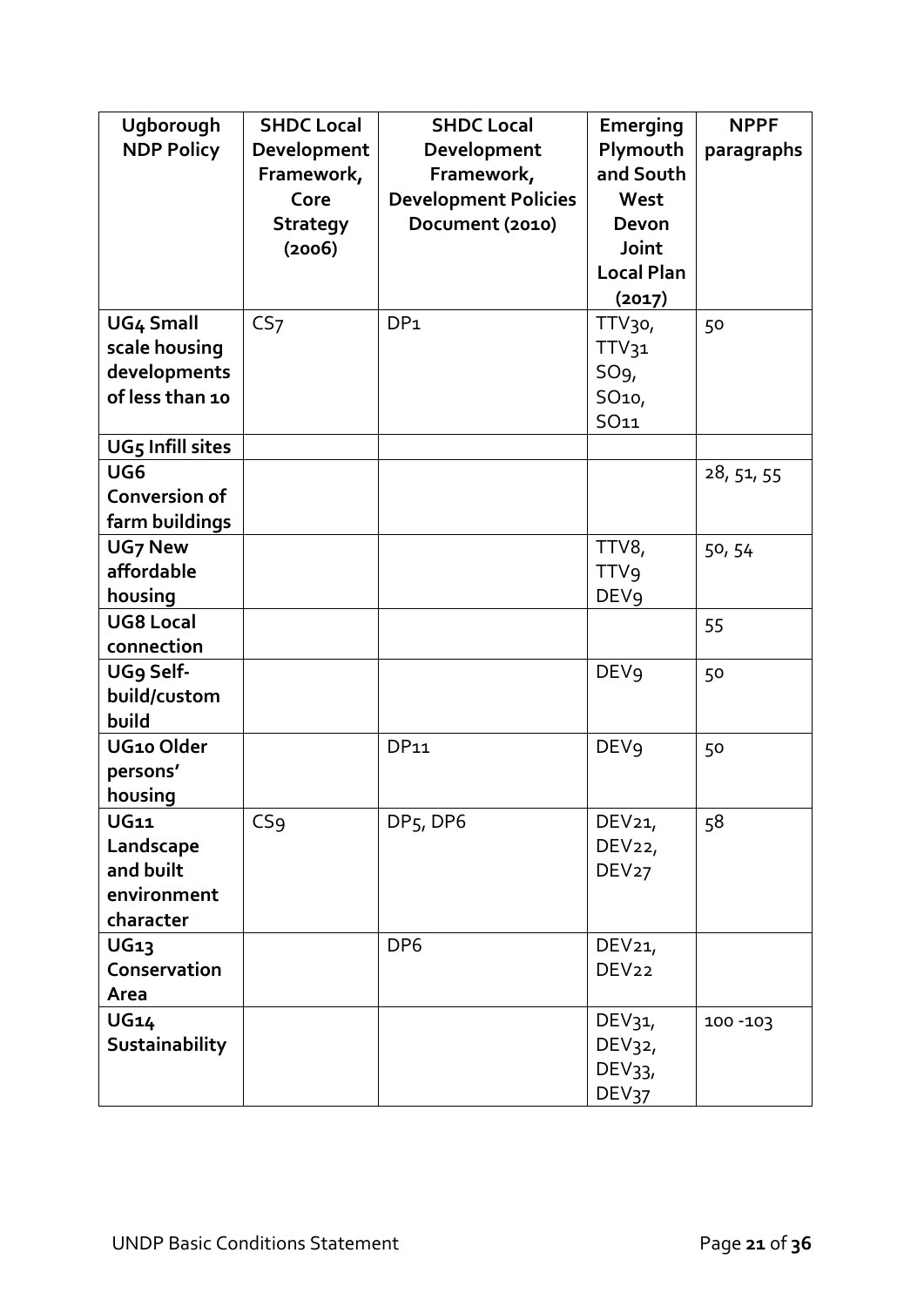| Ugborough             | <b>SHDC Local</b> | <b>SHDC Local</b>           | <b>Emerging</b>    | <b>NPPF</b> |
|-----------------------|-------------------|-----------------------------|--------------------|-------------|
| <b>NDP Policy</b>     | Development       | Development                 | Plymouth           | paragraphs  |
|                       | Framework,        | Framework,                  | and South          |             |
|                       | Core              | <b>Development Policies</b> | West               |             |
|                       | <b>Strategy</b>   | Document (2010)             | Devon              |             |
|                       | (2006)            |                             | Joint              |             |
|                       |                   |                             | <b>Local Plan</b>  |             |
|                       |                   |                             | (2017)             |             |
| <b>UG4 Small</b>      | CS <sub>7</sub>   | DP <sub>1</sub>             | TTV <sub>30</sub>  | 50          |
| scale housing         |                   |                             | TTV <sub>31</sub>  |             |
| developments          |                   |                             | SO <sub>9</sub>    |             |
| of less than 10       |                   |                             | SO <sub>10</sub> , |             |
|                       |                   |                             | <b>SO11</b>        |             |
| UG5 Infill sites      |                   |                             |                    |             |
| UG <sub>6</sub>       |                   |                             |                    | 28, 51, 55  |
| <b>Conversion of</b>  |                   |                             |                    |             |
| farm buildings        |                   |                             |                    |             |
| <b>UG7 New</b>        |                   |                             | TTV8,              | 50, 54      |
| affordable            |                   |                             | <b>TTV9</b>        |             |
| housing               |                   |                             | DEV <sub>9</sub>   |             |
| <b>UG8 Local</b>      |                   |                             |                    | 55          |
| connection            |                   |                             |                    |             |
| UG9 Self-             |                   |                             | <b>DEV9</b>        | 50          |
| build/custom          |                   |                             |                    |             |
| build                 |                   |                             |                    |             |
| UG10 Older            |                   | <b>DP11</b>                 | <b>DEV9</b>        | 50          |
| persons'              |                   |                             |                    |             |
| housing               |                   |                             |                    |             |
| <b>UG11</b>           | CS <sub>9</sub>   | $DP5$ , DP6                 | DEV <sub>21</sub>  | 58          |
| Landscape             |                   |                             | DEV22,             |             |
| and built             |                   |                             | DEV27              |             |
| environment           |                   |                             |                    |             |
| character             |                   |                             |                    |             |
| <b>UG13</b>           |                   | DP <sub>6</sub>             | DEV <sub>21</sub>  |             |
| Conservation          |                   |                             | DEV <sub>22</sub>  |             |
| Area                  |                   |                             |                    |             |
| <b>UG14</b>           |                   |                             | DEV <sub>31</sub>  | $100 - 103$ |
| <b>Sustainability</b> |                   |                             | DEV <sub>32</sub>  |             |
|                       |                   |                             | DEV <sub>33</sub>  |             |
|                       |                   |                             | DEV <sub>37</sub>  |             |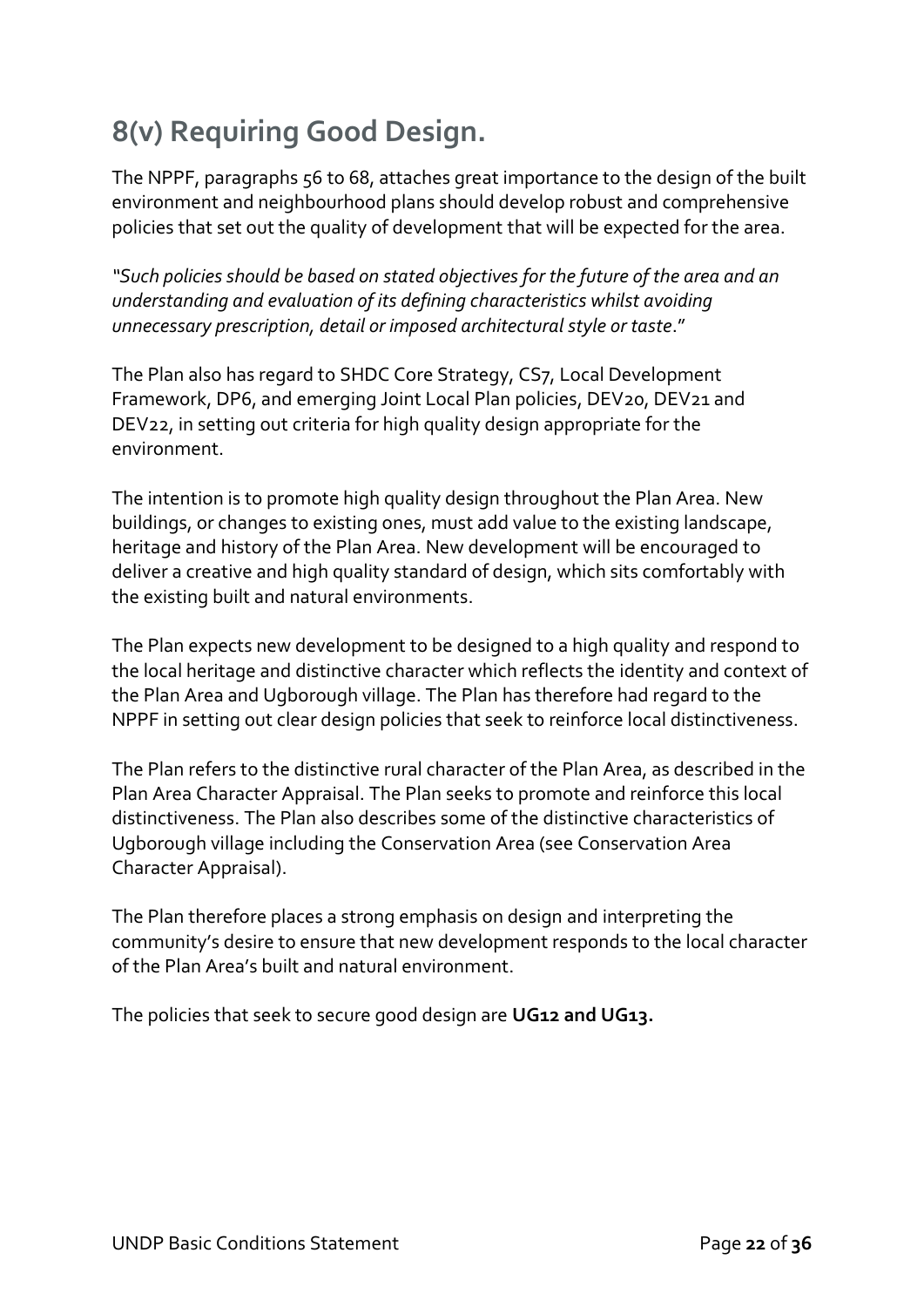### **8(v) Requiring Good Design.**

The NPPF, paragraphs 56 to 68, attaches great importance to the design of the built environment and neighbourhood plans should develop robust and comprehensive policies that set out the quality of development that will be expected for the area.

*"Such policies should be based on stated objectives for the future of the area and an understanding and evaluation of its defining characteristics whilst avoiding unnecessary prescription, detail or imposed architectural style or taste*."

The Plan also has regard to SHDC Core Strategy, CS7, Local Development Framework, DP6, and emerging Joint Local Plan policies, DEV20, DEV21 and DEV22, in setting out criteria for high quality design appropriate for the environment.

The intention is to promote high quality design throughout the Plan Area. New buildings, or changes to existing ones, must add value to the existing landscape, heritage and history of the Plan Area. New development will be encouraged to deliver a creative and high quality standard of design, which sits comfortably with the existing built and natural environments.

The Plan expects new development to be designed to a high quality and respond to the local heritage and distinctive character which reflects the identity and context of the Plan Area and Ugborough village. The Plan has therefore had regard to the NPPF in setting out clear design policies that seek to reinforce local distinctiveness.

The Plan refers to the distinctive rural character of the Plan Area, as described in the Plan Area Character Appraisal. The Plan seeks to promote and reinforce this local distinctiveness. The Plan also describes some of the distinctive characteristics of Ugborough village including the Conservation Area (see Conservation Area Character Appraisal).

The Plan therefore places a strong emphasis on design and interpreting the community's desire to ensure that new development responds to the local character of the Plan Area's built and natural environment.

The policies that seek to secure good design are **UG12 and UG13.**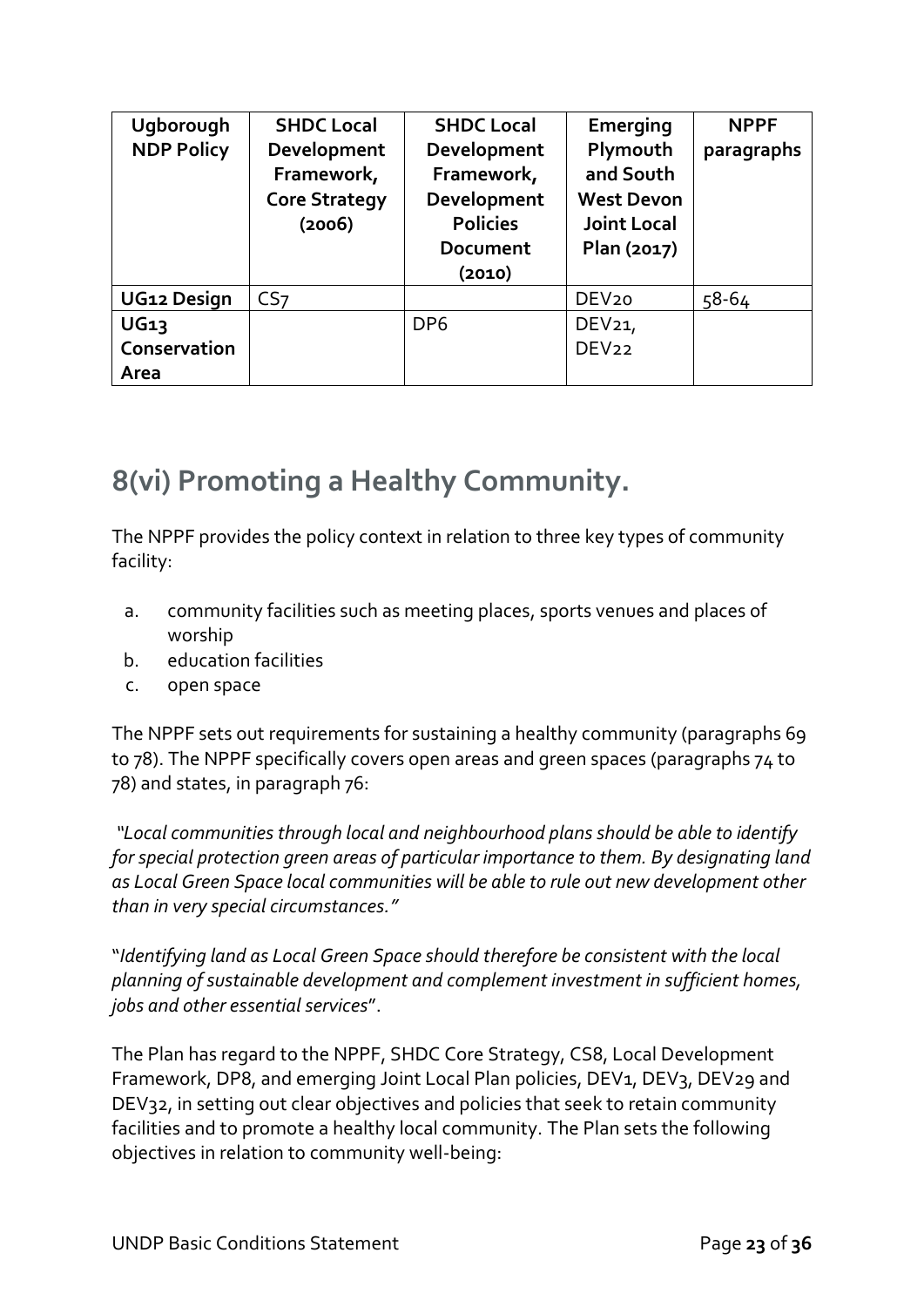| Ugborough         | <b>SHDC Local</b>    | <b>SHDC Local</b> | Emerging           | <b>NPPF</b> |
|-------------------|----------------------|-------------------|--------------------|-------------|
| <b>NDP Policy</b> | Development          | Development       | Plymouth           | paragraphs  |
|                   | Framework,           | Framework,        | and South          |             |
|                   | <b>Core Strategy</b> | Development       | <b>West Devon</b>  |             |
|                   | (2006)               | <b>Policies</b>   | <b>Joint Local</b> |             |
|                   |                      | <b>Document</b>   | Plan (2017)        |             |
|                   |                      | (2010)            |                    |             |
| UG12 Design       | CS <sub>7</sub>      |                   | DEV <sub>20</sub>  | 58-64       |
| <b>UG13</b>       |                      | DP <sub>6</sub>   | DEV21,             |             |
| Conservation      |                      |                   | DEV <sub>22</sub>  |             |
| Area              |                      |                   |                    |             |

### **8(vi) Promoting a Healthy Community.**

The NPPF provides the policy context in relation to three key types of community facility:

- a. community facilities such as meeting places, sports venues and places of worship
- b. education facilities
- c. open space

The NPPF sets out requirements for sustaining a healthy community (paragraphs 69 to 78). The NPPF specifically covers open areas and green spaces (paragraphs 74 to 78) and states, in paragraph 76:

*"Local communities through local and neighbourhood plans should be able to identify for special protection green areas of particular importance to them. By designating land as Local Green Space local communities will be able to rule out new development other than in very special circumstances."*

"*Identifying land as Local Green Space should therefore be consistent with the local planning of sustainable development and complement investment in sufficient homes, jobs and other essential services*".

The Plan has regard to the NPPF, SHDC Core Strategy, CS8, Local Development Framework, DP8, and emerging Joint Local Plan policies, DEV1, DEV3, DEV29 and DEV32, in setting out clear objectives and policies that seek to retain community facilities and to promote a healthy local community. The Plan sets the following objectives in relation to community well-being: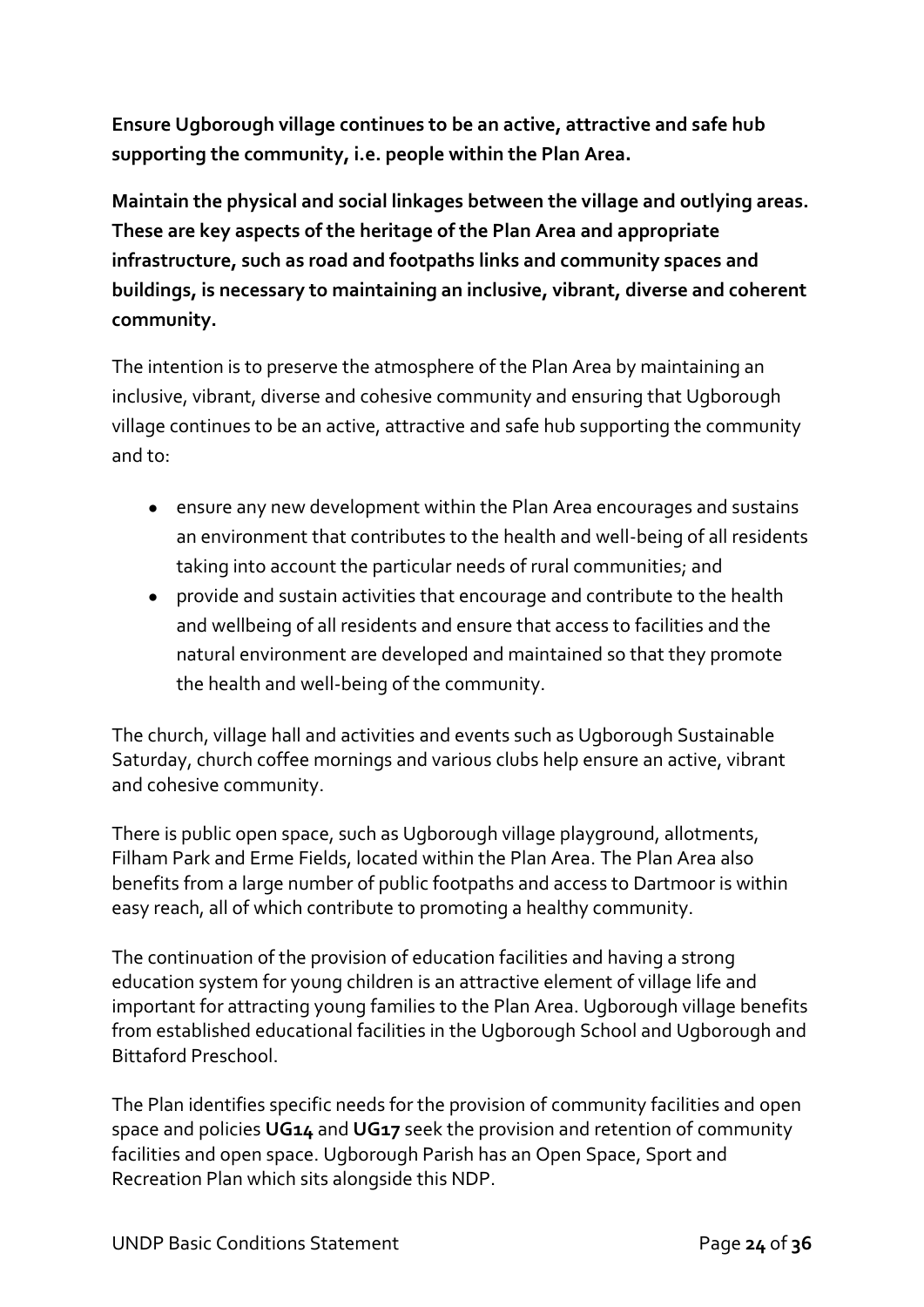**Ensure Ugborough village continues to be an active, attractive and safe hub supporting the community, i.e. people within the Plan Area.**

**Maintain the physical and social linkages between the village and outlying areas. These are key aspects of the heritage of the Plan Area and appropriate infrastructure, such as road and footpaths links and community spaces and buildings, is necessary to maintaining an inclusive, vibrant, diverse and coherent community.** 

The intention is to preserve the atmosphere of the Plan Area by maintaining an inclusive, vibrant, diverse and cohesive community and ensuring that Ugborough village continues to be an active, attractive and safe hub supporting the community and to:

- ensure any new development within the Plan Area encourages and sustains an environment that contributes to the health and well-being of all residents taking into account the particular needs of rural communities; and
- provide and sustain activities that encourage and contribute to the health and wellbeing of all residents and ensure that access to facilities and the natural environment are developed and maintained so that they promote the health and well-being of the community.

The church, village hall and activities and events such as Ugborough Sustainable Saturday, church coffee mornings and various clubs help ensure an active, vibrant and cohesive community.

There is public open space, such as Ugborough village playground, allotments, Filham Park and Erme Fields, located within the Plan Area. The Plan Area also benefits from a large number of public footpaths and access to Dartmoor is within easy reach, all of which contribute to promoting a healthy community.

The continuation of the provision of education facilities and having a strong education system for young children is an attractive element of village life and important for attracting young families to the Plan Area. Ugborough village benefits from established educational facilities in the Ugborough School and Ugborough and Bittaford Preschool.

The Plan identifies specific needs for the provision of community facilities and open space and policies **UG14** and **UG17** seek the provision and retention of community facilities and open space. Ugborough Parish has an Open Space, Sport and Recreation Plan which sits alongside this NDP.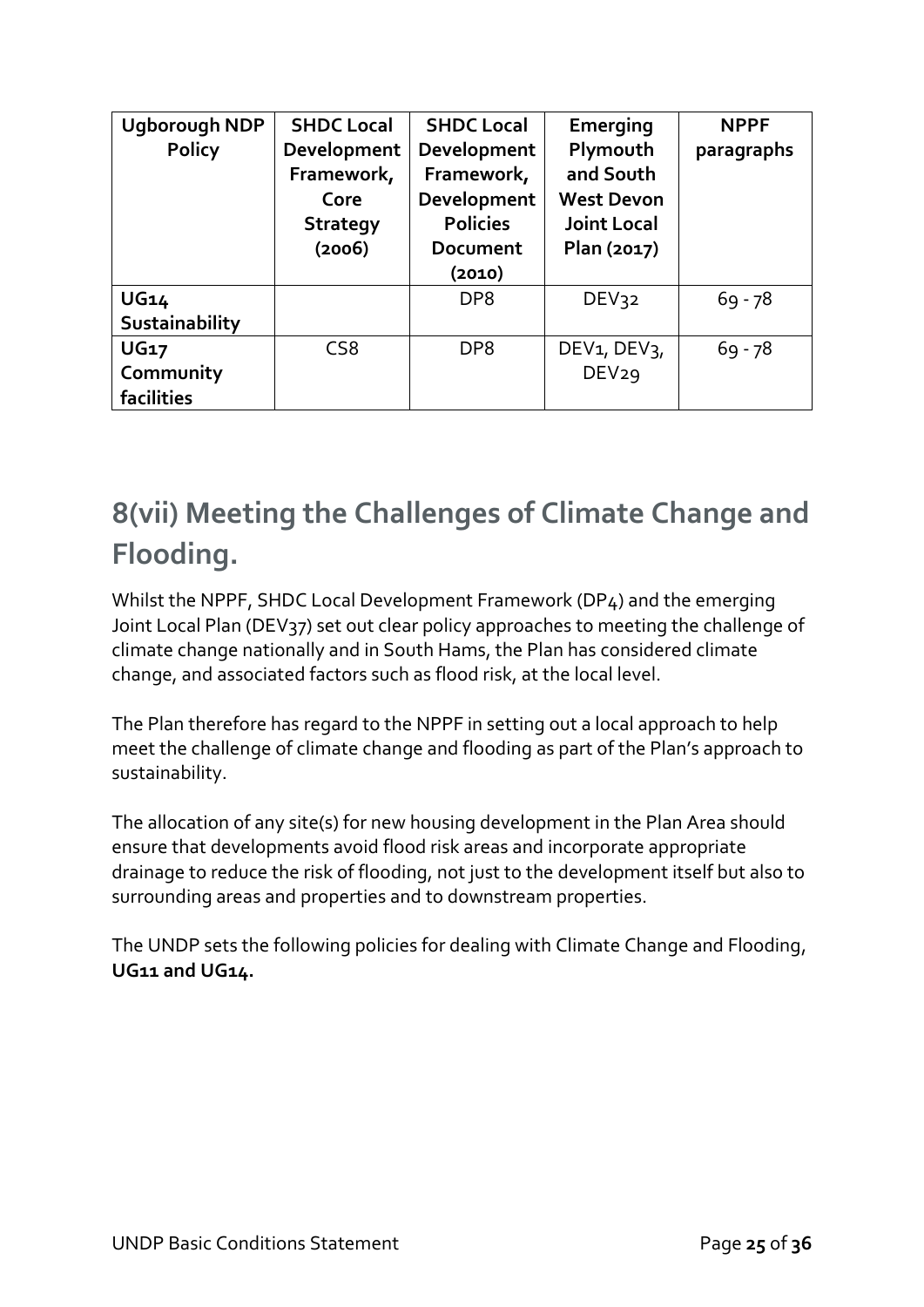| <b>Ugborough NDP</b> | <b>SHDC Local</b> | <b>SHDC Local</b> | Emerging                              | <b>NPPF</b> |
|----------------------|-------------------|-------------------|---------------------------------------|-------------|
| <b>Policy</b>        | Development       | Development       | Plymouth                              | paragraphs  |
|                      | Framework,        | Framework,        | and South                             |             |
|                      | Core              | Development       | <b>West Devon</b>                     |             |
|                      | <b>Strategy</b>   | <b>Policies</b>   | <b>Joint Local</b>                    |             |
|                      | (2006)            | Document          | Plan (2017)                           |             |
|                      |                   | (2010)            |                                       |             |
| <b>UG14</b>          |                   | DP <sub>8</sub>   | DEV32                                 | $69 - 78$   |
| Sustainability       |                   |                   |                                       |             |
| <b>UG17</b>          | CS <sub>8</sub>   | DP <sub>8</sub>   | DEV <sub>1</sub> , DEV <sub>3</sub> , | $69 - 78$   |
| Community            |                   |                   | DEV29                                 |             |
| facilities           |                   |                   |                                       |             |

### **8(vii) Meeting the Challenges of Climate Change and Flooding.**

Whilst the NPPF, SHDC Local Development Framework (DP4) and the emerging Joint Local Plan (DEV<sub>37</sub>) set out clear policy approaches to meeting the challenge of climate change nationally and in South Hams, the Plan has considered climate change, and associated factors such as flood risk, at the local level.

The Plan therefore has regard to the NPPF in setting out a local approach to help meet the challenge of climate change and flooding as part of the Plan's approach to sustainability.

The allocation of any site(s) for new housing development in the Plan Area should ensure that developments avoid flood risk areas and incorporate appropriate drainage to reduce the risk of flooding, not just to the development itself but also to surrounding areas and properties and to downstream properties.

The UNDP sets the following policies for dealing with Climate Change and Flooding, **UG11 and UG14.**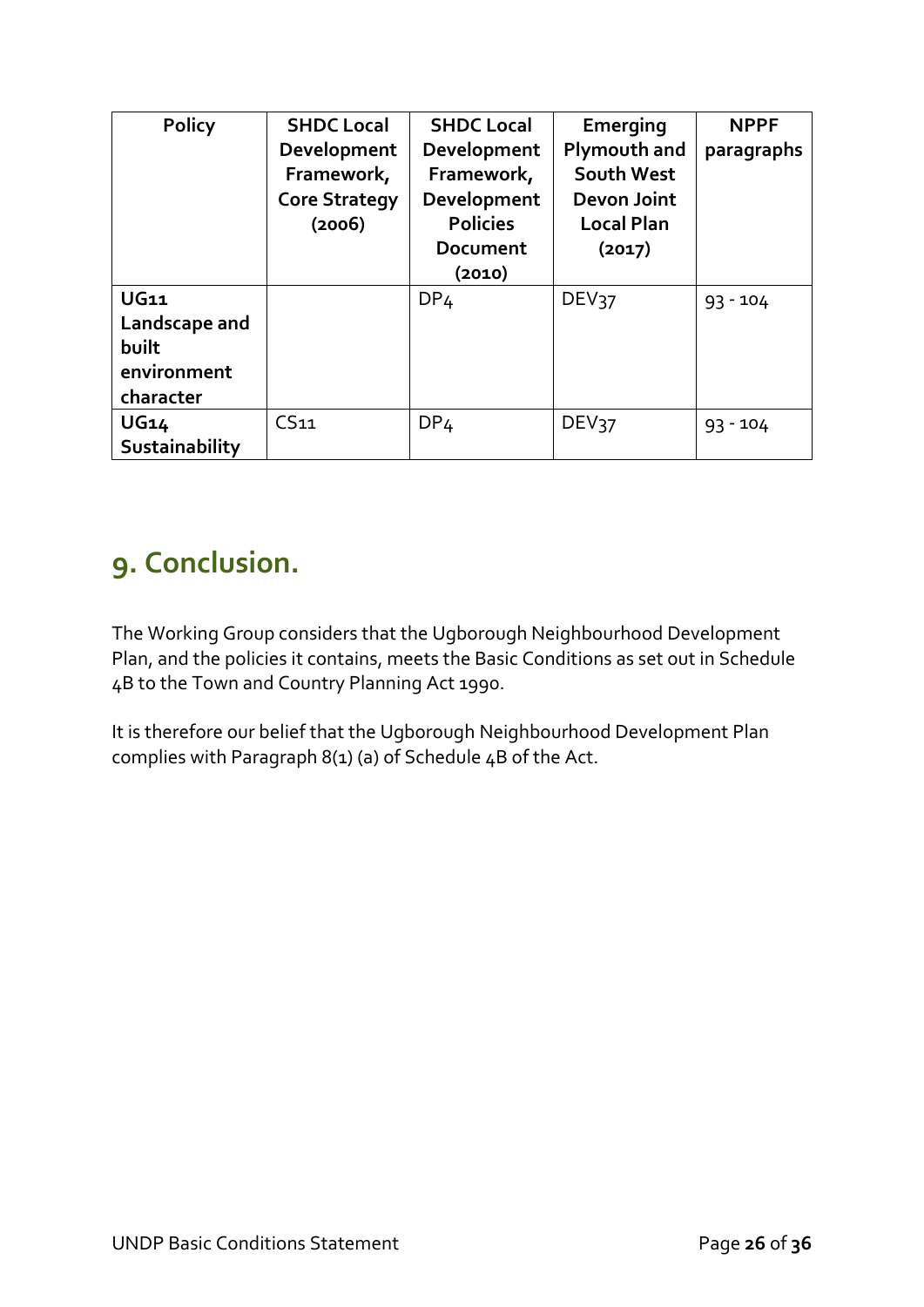| <b>Policy</b>                                                     | <b>SHDC Local</b><br>Development<br>Framework,<br><b>Core Strategy</b><br>(2006) | <b>SHDC Local</b><br>Development<br>Framework,<br>Development<br><b>Policies</b><br><b>Document</b><br>(2010) | Emerging<br>Plymouth and<br>South West<br>Devon Joint<br><b>Local Plan</b><br>(2017) | <b>NPPF</b><br>paragraphs |
|-------------------------------------------------------------------|----------------------------------------------------------------------------------|---------------------------------------------------------------------------------------------------------------|--------------------------------------------------------------------------------------|---------------------------|
| <b>UG11</b><br>Landscape and<br>built<br>environment<br>character |                                                                                  | DP <sub>4</sub>                                                                                               | DEV <sub>37</sub>                                                                    | $93 - 104$                |
| <b>UG14</b><br>Sustainability                                     | CS <sub>11</sub>                                                                 | DP <sub>4</sub>                                                                                               | DEV37                                                                                | $93 - 104$                |

### **9. Conclusion.**

The Working Group considers that the Ugborough Neighbourhood Development Plan, and the policies it contains, meets the Basic Conditions as set out in Schedule 4B to the Town and Country Planning Act 1990.

It is therefore our belief that the Ugborough Neighbourhood Development Plan complies with Paragraph 8(1) (a) of Schedule  $4B$  of the Act.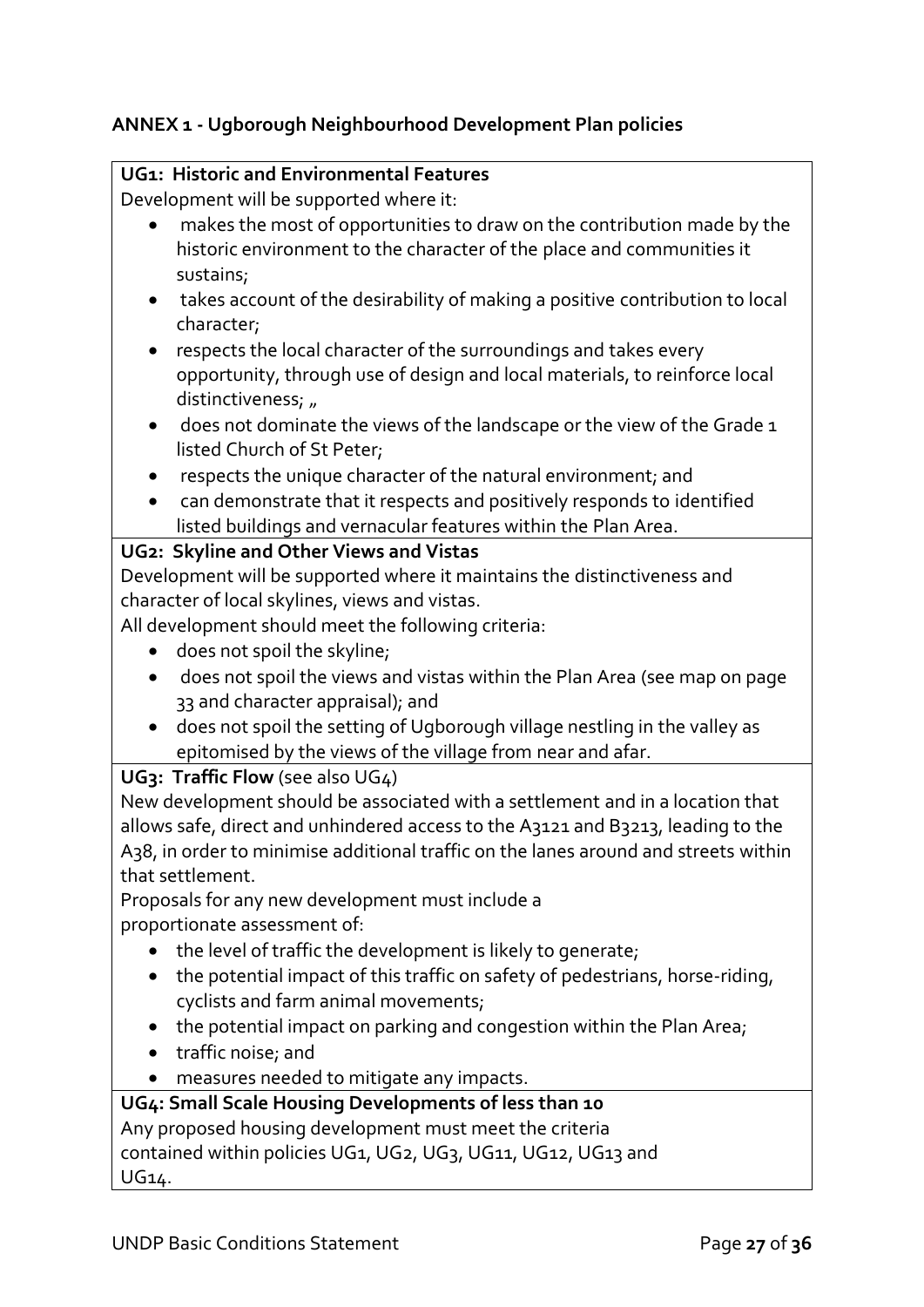### **ANNEX 1 - Ugborough Neighbourhood Development Plan policies**

#### **UG1: Historic and Environmental Features**

Development will be supported where it:

- makes the most of opportunities to draw on the contribution made by the historic environment to the character of the place and communities it sustains;
- takes account of the desirability of making a positive contribution to local character;
- respects the local character of the surroundings and takes every opportunity, through use of design and local materials, to reinforce local distinctiveness; "
- does not dominate the views of the landscape or the view of the Grade 1 listed Church of St Peter;
- respects the unique character of the natural environment; and
- can demonstrate that it respects and positively responds to identified listed buildings and vernacular features within the Plan Area.

#### **UG2: Skyline and Other Views and Vistas**

Development will be supported where it maintains the distinctiveness and character of local skylines, views and vistas.

All development should meet the following criteria:

- does not spoil the skyline;
- does not spoil the views and vistas within the Plan Area (see map on page 33 and character appraisal); and
- does not spoil the setting of Ugborough village nestling in the valley as epitomised by the views of the village from near and afar.

#### **UG3: Traffic Flow** (see also UG4)

New development should be associated with a settlement and in a location that allows safe, direct and unhindered access to the A3121 and B3213, leading to the A38, in order to minimise additional traffic on the lanes around and streets within that settlement.

Proposals for any new development must include a proportionate assessment of:

- the level of traffic the development is likely to generate;
- the potential impact of this traffic on safety of pedestrians, horse-riding, cyclists and farm animal movements;
- the potential impact on parking and congestion within the Plan Area;
- traffic noise; and
- measures needed to mitigate any impacts.

#### **UG4: Small Scale Housing Developments of less than 10** Any proposed housing development must meet the criteria contained within policies UG1, UG2, UG3, UG11, UG12, UG13 and UG14.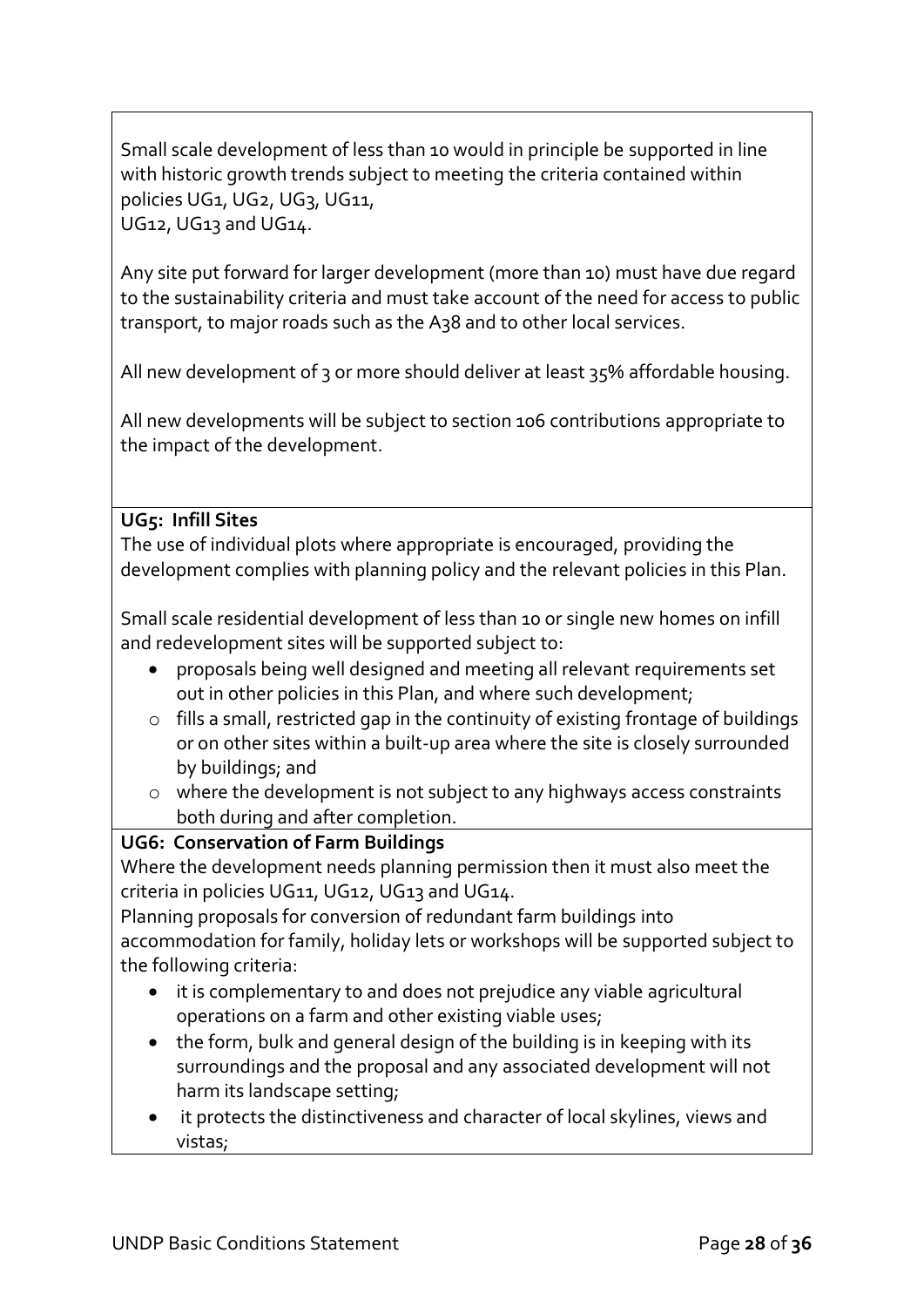Small scale development 0f less than 10 would in principle be supported in line with historic growth trends subject to meeting the criteria contained within policies UG1, UG2, UG3, UG11, UG12, UG13 and UG14.

Any site put forward for larger development (more than 10) must have due regard to the sustainability criteria and must take account of the need for access to public transport, to major roads such as the A38 and to other local services.

All new development of 3 or more should deliver at least 35% affordable housing.

All new developments will be subject to section 106 contributions appropriate to the impact of the development.

#### **UG5: Infill Sites**

The use of individual plots where appropriate is encouraged, providing the development complies with planning policy and the relevant policies in this Plan.

Small scale residential development of less than 10 or single new homes on infill and redevelopment sites will be supported subject to:

- proposals being well designed and meeting all relevant requirements set out in other policies in this Plan, and where such development;
- o fills a small, restricted gap in the continuity of existing frontage of buildings or on other sites within a built-up area where the site is closely surrounded by buildings; and
- o where the development is not subject to any highways access constraints both during and after completion.

#### **UG6: Conservation of Farm Buildings**

Where the development needs planning permission then it must also meet the criteria in policies UG11, UG12, UG13 and UG14.

Planning proposals for conversion of redundant farm buildings into accommodation for family, holiday lets or workshops will be supported subject to the following criteria:

- it is complementary to and does not prejudice any viable agricultural operations on a farm and other existing viable uses;
- the form, bulk and general design of the building is in keeping with its surroundings and the proposal and any associated development will not harm its landscape setting;
- it protects the distinctiveness and character of local skylines, views and vistas;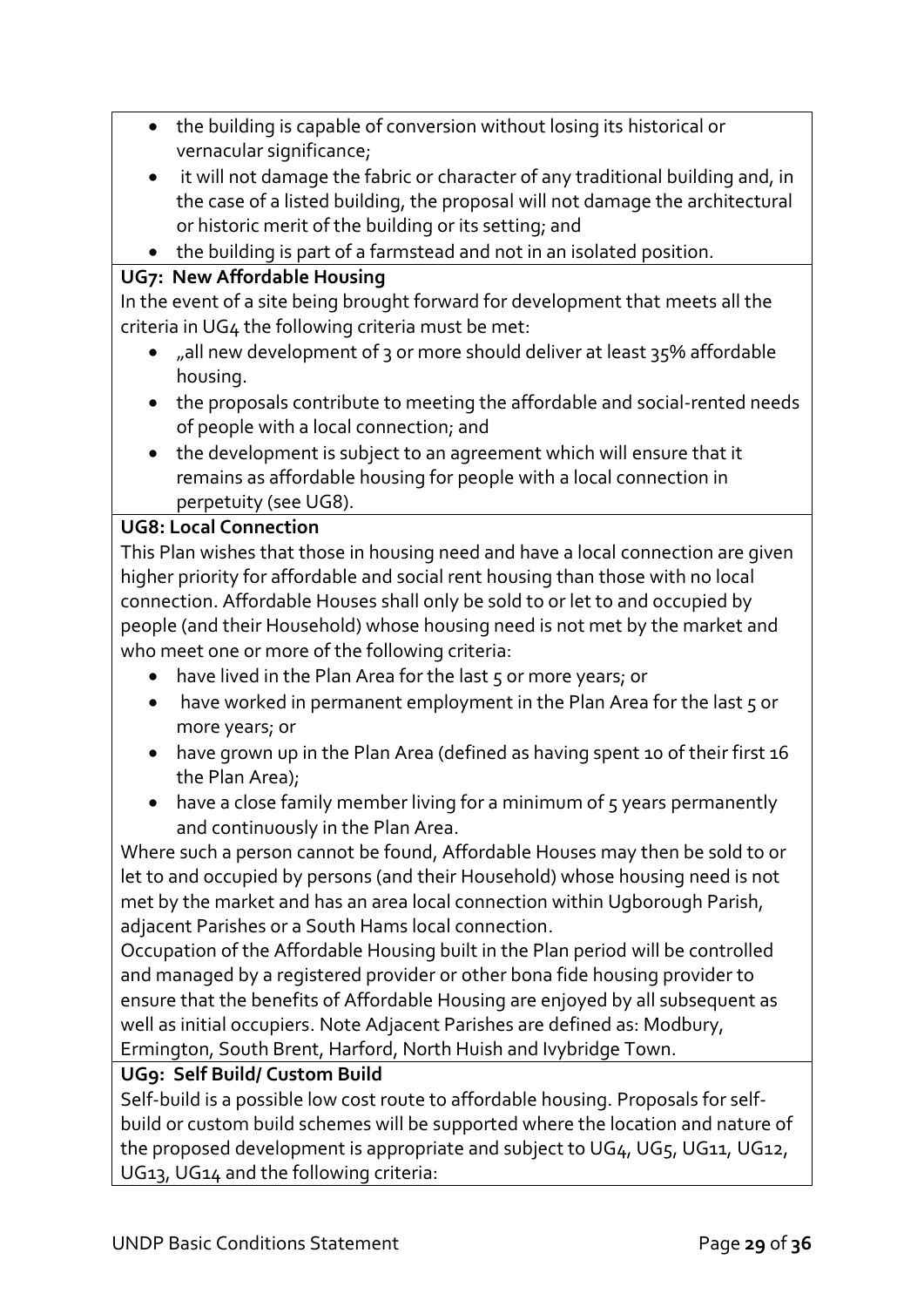- the building is capable of conversion without losing its historical or vernacular significance;
- it will not damage the fabric or character of any traditional building and, in the case of a listed building, the proposal will not damage the architectural or historic merit of the building or its setting; and
- the building is part of a farmstead and not in an isolated position.

### **UG7: New Affordable Housing**

In the event of a site being brought forward for development that meets all the criteria in UG4 the following criteria must be met:

- "all new development of 3 or more should deliver at least 35% affordable housing.
- the proposals contribute to meeting the affordable and social-rented needs of people with a local connection; and
- the development is subject to an agreement which will ensure that it remains as affordable housing for people with a local connection in perpetuity (see UG8).

#### **UG8: Local Connection**

This Plan wishes that those in housing need and have a local connection are given higher priority for affordable and social rent housing than those with no local connection. Affordable Houses shall only be sold to or let to and occupied by people (and their Household) whose housing need is not met by the market and who meet one or more of the following criteria:

- $\bullet$  have lived in the Plan Area for the last 5 or more years; or
- have worked in permanent employment in the Plan Area for the last  $\zeta$  or more years; or
- have grown up in the Plan Area (defined as having spent 10 of their first 16 the Plan Area);
- have a close family member living for a minimum of 5 years permanently and continuously in the Plan Area.

Where such a person cannot be found, Affordable Houses may then be sold to or let to and occupied by persons (and their Household) whose housing need is not met by the market and has an area local connection within Ugborough Parish, adjacent Parishes or a South Hams local connection.

Occupation of the Affordable Housing built in the Plan period will be controlled and managed by a registered provider or other bona fide housing provider to ensure that the benefits of Affordable Housing are enjoyed by all subsequent as well as initial occupiers. Note Adjacent Parishes are defined as: Modbury, Ermington, South Brent, Harford, North Huish and Ivybridge Town.

#### **UG9: Self Build/ Custom Build**

Self-build is a possible low cost route to affordable housing. Proposals for selfbuild or custom build schemes will be supported where the location and nature of the proposed development is appropriate and subject to UG4, UG5, UG11, UG12, UG13, UG14 and the following criteria: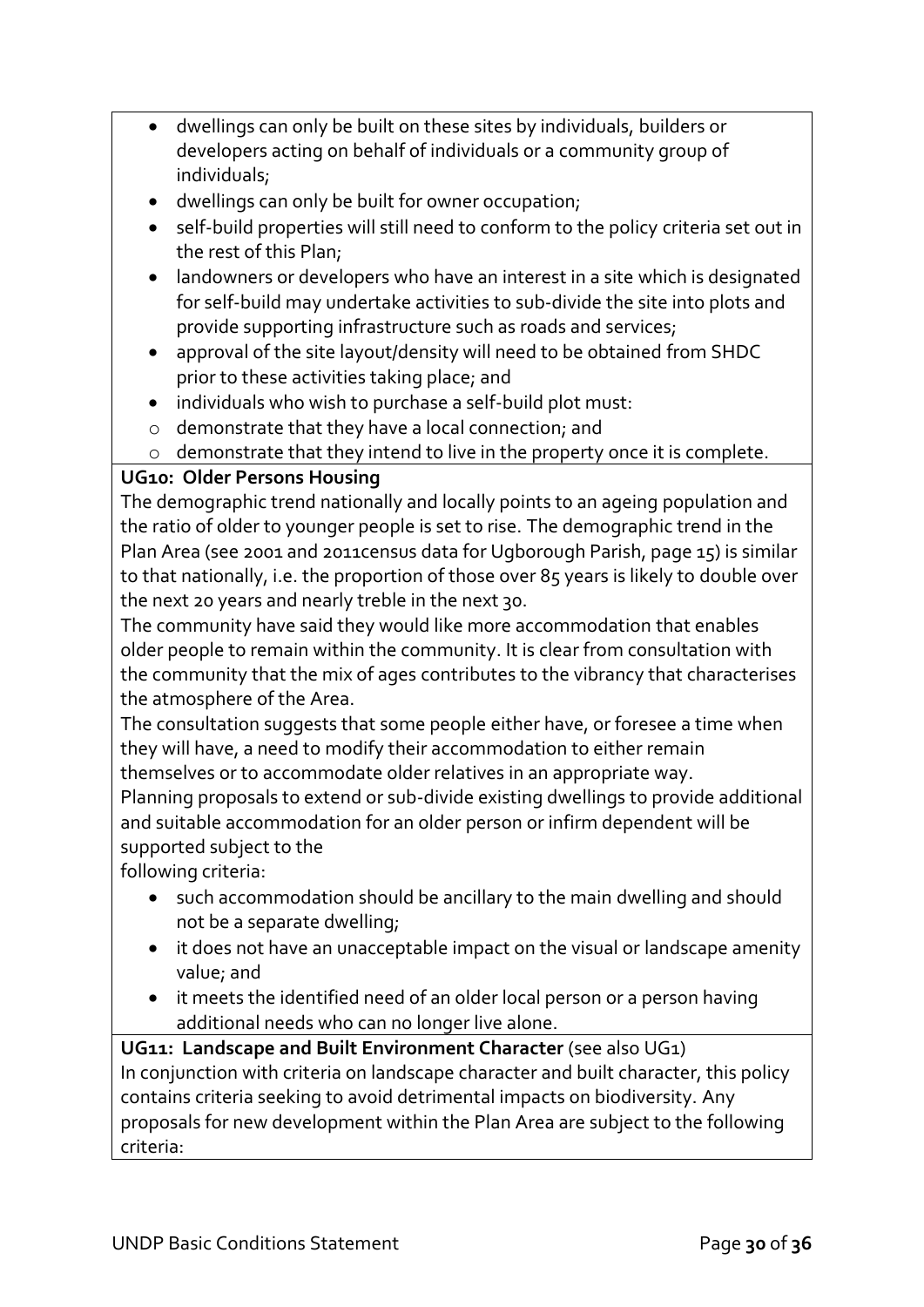- dwellings can only be built on these sites by individuals, builders or developers acting on behalf of individuals or a community group of individuals;
- dwellings can only be built for owner occupation;
- self-build properties will still need to conform to the policy criteria set out in the rest of this Plan;
- landowners or developers who have an interest in a site which is designated for self-build may undertake activities to sub-divide the site into plots and provide supporting infrastructure such as roads and services;
- approval of the site layout/density will need to be obtained from SHDC prior to these activities taking place; and
- individuals who wish to purchase a self-build plot must:
- o demonstrate that they have a local connection; and
- o demonstrate that they intend to live in the property once it is complete.

### **UG10: Older Persons Housing**

The demographic trend nationally and locally points to an ageing population and the ratio of older to younger people is set to rise. The demographic trend in the Plan Area (see 2001 and 2011census data for Ugborough Parish, page 15) is similar to that nationally, i.e. the proportion of those over 85 years is likely to double over the next 20 years and nearly treble in the next 30.

The community have said they would like more accommodation that enables older people to remain within the community. It is clear from consultation with the community that the mix of ages contributes to the vibrancy that characterises the atmosphere of the Area.

The consultation suggests that some people either have, or foresee a time when they will have, a need to modify their accommodation to either remain themselves or to accommodate older relatives in an appropriate way.

Planning proposals to extend or sub-divide existing dwellings to provide additional and suitable accommodation for an older person or infirm dependent will be supported subject to the

following criteria:

- such accommodation should be ancillary to the main dwelling and should not be a separate dwelling;
- it does not have an unacceptable impact on the visual or landscape amenity value; and
- it meets the identified need of an older local person or a person having additional needs who can no longer live alone.

**UG11: Landscape and Built Environment Character** (see also UG1) In conjunction with criteria on landscape character and built character, this policy contains criteria seeking to avoid detrimental impacts on biodiversity. Any proposals for new development within the Plan Area are subject to the following criteria: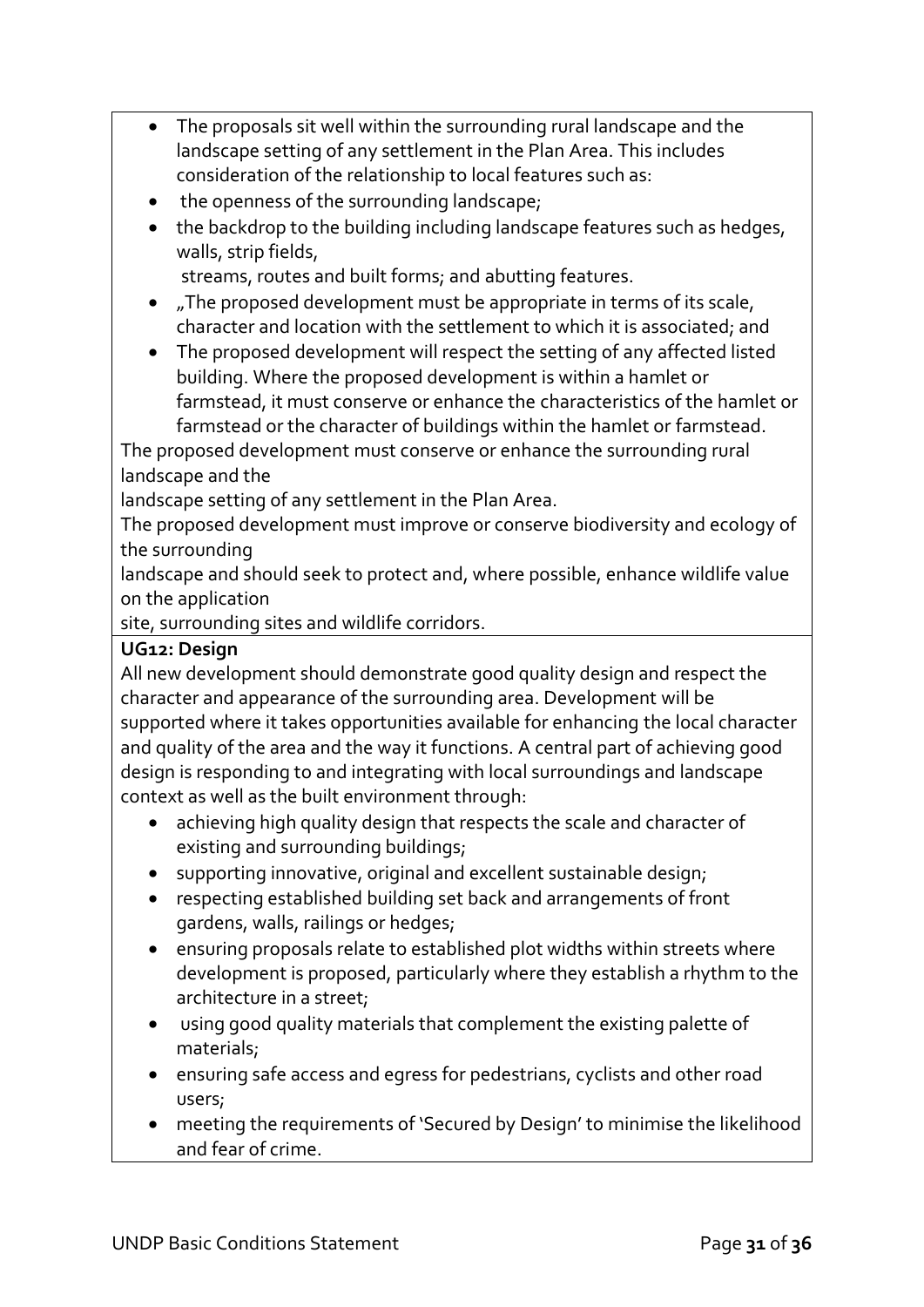- The proposals sit well within the surrounding rural landscape and the landscape setting of any settlement in the Plan Area. This includes consideration of the relationship to local features such as:
- the openness of the surrounding landscape;
- the backdrop to the building including landscape features such as hedges, walls, strip fields,

streams, routes and built forms; and abutting features.

- "The proposed development must be appropriate in terms of its scale, character and location with the settlement to which it is associated; and
- The proposed development will respect the setting of any affected listed building. Where the proposed development is within a hamlet or farmstead, it must conserve or enhance the characteristics of the hamlet or farmstead or the character of buildings within the hamlet or farmstead.

The proposed development must conserve or enhance the surrounding rural landscape and the

landscape setting of any settlement in the Plan Area.

The proposed development must improve or conserve biodiversity and ecology of the surrounding

landscape and should seek to protect and, where possible, enhance wildlife value on the application

site, surrounding sites and wildlife corridors.

### **UG12: Design**

All new development should demonstrate good quality design and respect the character and appearance of the surrounding area. Development will be supported where it takes opportunities available for enhancing the local character and quality of the area and the way it functions. A central part of achieving good design is responding to and integrating with local surroundings and landscape context as well as the built environment through:

- achieving high quality design that respects the scale and character of existing and surrounding buildings;
- supporting innovative, original and excellent sustainable design;
- respecting established building set back and arrangements of front gardens, walls, railings or hedges;
- ensuring proposals relate to established plot widths within streets where development is proposed, particularly where they establish a rhythm to the architecture in a street;
- using good quality materials that complement the existing palette of materials;
- ensuring safe access and egress for pedestrians, cyclists and other road users;
- meeting the requirements of 'Secured by Design' to minimise the likelihood and fear of crime.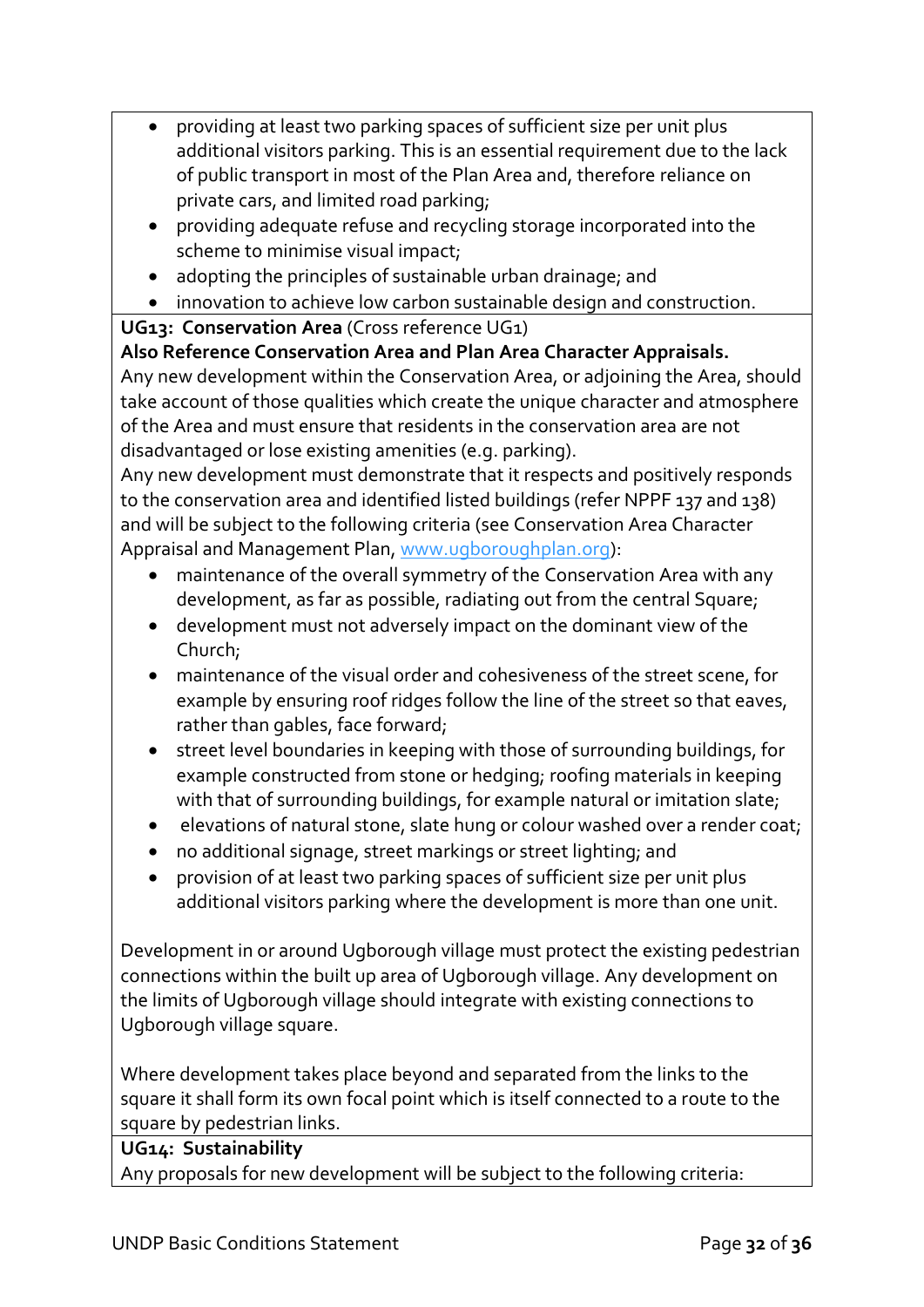- providing at least two parking spaces of sufficient size per unit plus additional visitors parking. This is an essential requirement due to the lack of public transport in most of the Plan Area and, therefore reliance on private cars, and limited road parking;
- providing adequate refuse and recycling storage incorporated into the scheme to minimise visual impact;
- adopting the principles of sustainable urban drainage; and
- innovation to achieve low carbon sustainable design and construction.

**UG13: Conservation Area** (Cross reference UG1)

**Also Reference Conservation Area and Plan Area Character Appraisals.**

Any new development within the Conservation Area, or adjoining the Area, should take account of those qualities which create the unique character and atmosphere of the Area and must ensure that residents in the conservation area are not disadvantaged or lose existing amenities (e.g. parking).

Any new development must demonstrate that it respects and positively responds to the conservation area and identified listed buildings (refer NPPF 137 and 138) and will be subject to the following criteria (see Conservation Area Character Appraisal and Management Plan, [www.ugboroughplan.org\)](http://www.ugboroughplan.org/):

- maintenance of the overall symmetry of the Conservation Area with any development, as far as possible, radiating out from the central Square;
- development must not adversely impact on the dominant view of the Church;
- maintenance of the visual order and cohesiveness of the street scene, for example by ensuring roof ridges follow the line of the street so that eaves, rather than gables, face forward;
- street level boundaries in keeping with those of surrounding buildings, for example constructed from stone or hedging; roofing materials in keeping with that of surrounding buildings, for example natural or imitation slate;
- elevations of natural stone, slate hung or colour washed over a render coat;
- no additional signage, street markings or street lighting; and
- provision of at least two parking spaces of sufficient size per unit plus additional visitors parking where the development is more than one unit.

Development in or around Ugborough village must protect the existing pedestrian connections within the built up area of Ugborough village. Any development on the limits of Ugborough village should integrate with existing connections to Ugborough village square.

Where development takes place beyond and separated from the links to the square it shall form its own focal point which is itself connected to a route to the square by pedestrian links.

#### **UG14: Sustainability**

Any proposals for new development will be subject to the following criteria: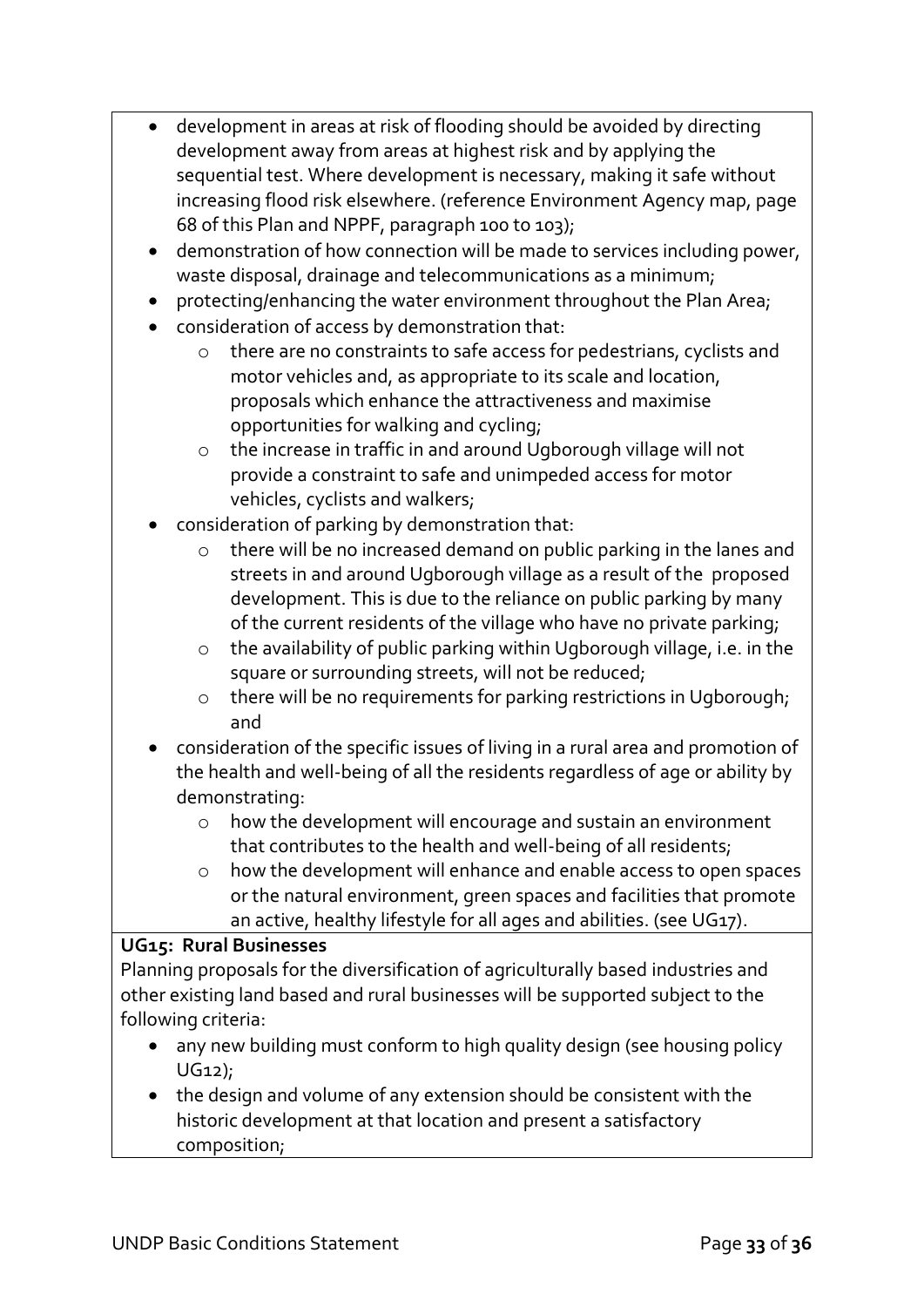| • development in areas at risk of flooding should be avoided by directing |
|---------------------------------------------------------------------------|
| development away from areas at highest risk and by applying the           |
| sequential test. Where development is necessary, making it safe without   |
| increasing flood risk elsewhere. (reference Environment Agency map, page  |
| 68 of this Plan and NPPF, paragraph 100 to 103);                          |

- demonstration of how connection will be made to services including power, waste disposal, drainage and telecommunications as a minimum;
- protecting/enhancing the water environment throughout the Plan Area;
- consideration of access by demonstration that:
	- o there are no constraints to safe access for pedestrians, cyclists and motor vehicles and, as appropriate to its scale and location, proposals which enhance the attractiveness and maximise opportunities for walking and cycling;
	- o the increase in traffic in and around Ugborough village will not provide a constraint to safe and unimpeded access for motor vehicles, cyclists and walkers;
- consideration of parking by demonstration that:
	- there will be no increased demand on public parking in the lanes and streets in and around Ugborough village as a result of the proposed development. This is due to the reliance on public parking by many of the current residents of the village who have no private parking;
	- o the availability of public parking within Ugborough village, i.e. in the square or surrounding streets, will not be reduced;
	- o there will be no requirements for parking restrictions in Ugborough; and
- consideration of the specific issues of living in a rural area and promotion of the health and well-being of all the residents regardless of age or ability by demonstrating:
	- o how the development will encourage and sustain an environment that contributes to the health and well-being of all residents;
	- o how the development will enhance and enable access to open spaces or the natural environment, green spaces and facilities that promote an active, healthy lifestyle for all ages and abilities. (see UG17).

#### **UG15: Rural Businesses**

Planning proposals for the diversification of agriculturally based industries and other existing land based and rural businesses will be supported subject to the following criteria:

- any new building must conform to high quality design (see housing policy UG12);
- the design and volume of any extension should be consistent with the historic development at that location and present a satisfactory composition;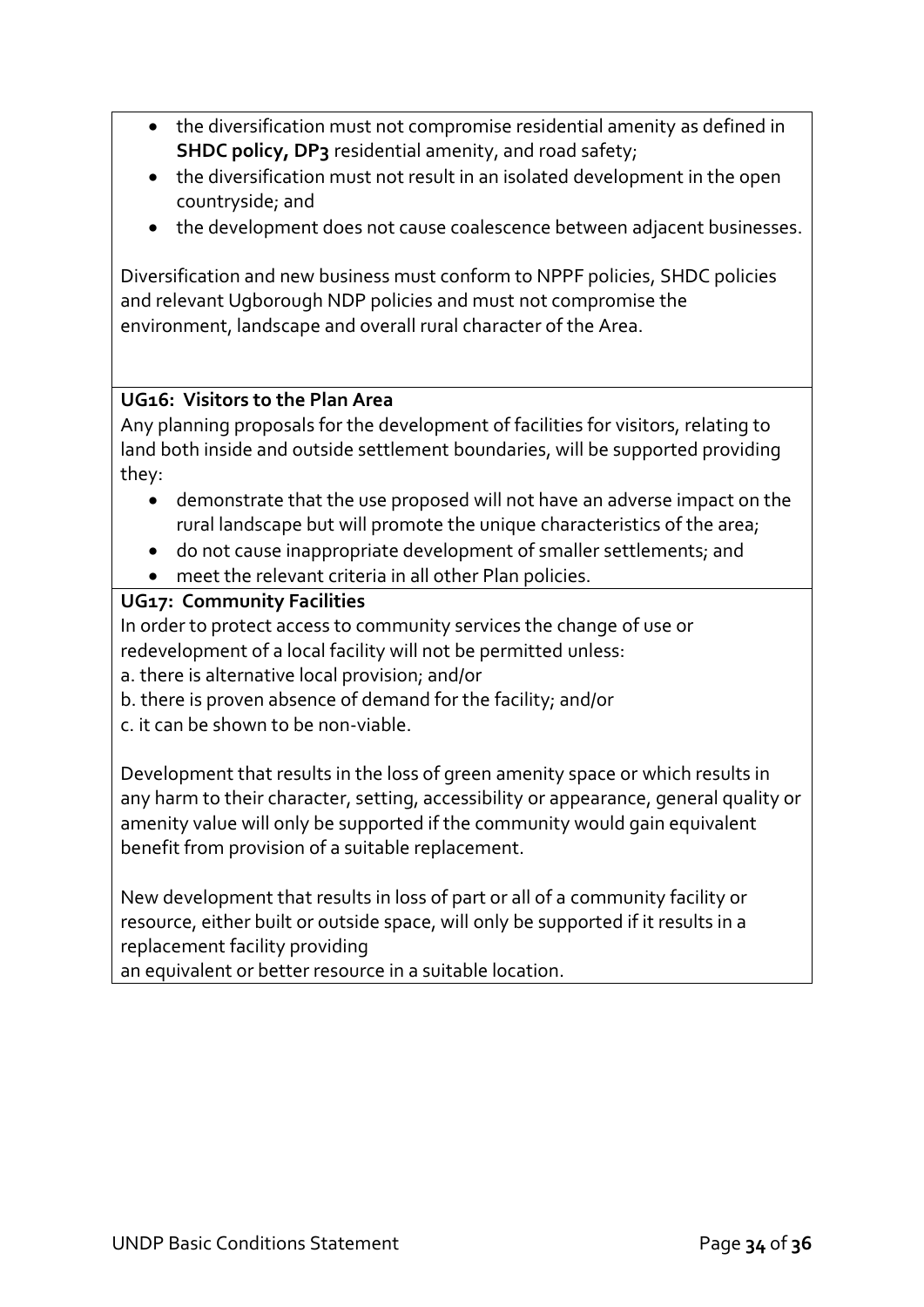- the diversification must not compromise residential amenity as defined in **SHDC policy, DP3** residential amenity, and road safety;
- the diversification must not result in an isolated development in the open countryside; and
- the development does not cause coalescence between adjacent businesses.

Diversification and new business must conform to NPPF policies, SHDC policies and relevant Ugborough NDP policies and must not compromise the environment, landscape and overall rural character of the Area.

### **UG16: Visitors to the Plan Area**

Any planning proposals for the development of facilities for visitors, relating to land both inside and outside settlement boundaries, will be supported providing they:

- demonstrate that the use proposed will not have an adverse impact on the rural landscape but will promote the unique characteristics of the area;
- do not cause inappropriate development of smaller settlements; and
- meet the relevant criteria in all other Plan policies.

### **UG17: Community Facilities**

In order to protect access to community services the change of use or redevelopment of a local facility will not be permitted unless:

a. there is alternative local provision; and/or

b. there is proven absence of demand for the facility; and/or

c. it can be shown to be non-viable.

Development that results in the loss of green amenity space or which results in any harm to their character, setting, accessibility or appearance, general quality or amenity value will only be supported if the community would gain equivalent benefit from provision of a suitable replacement.

New development that results in loss of part or all of a community facility or resource, either built or outside space, will only be supported if it results in a replacement facility providing

an equivalent or better resource in a suitable location.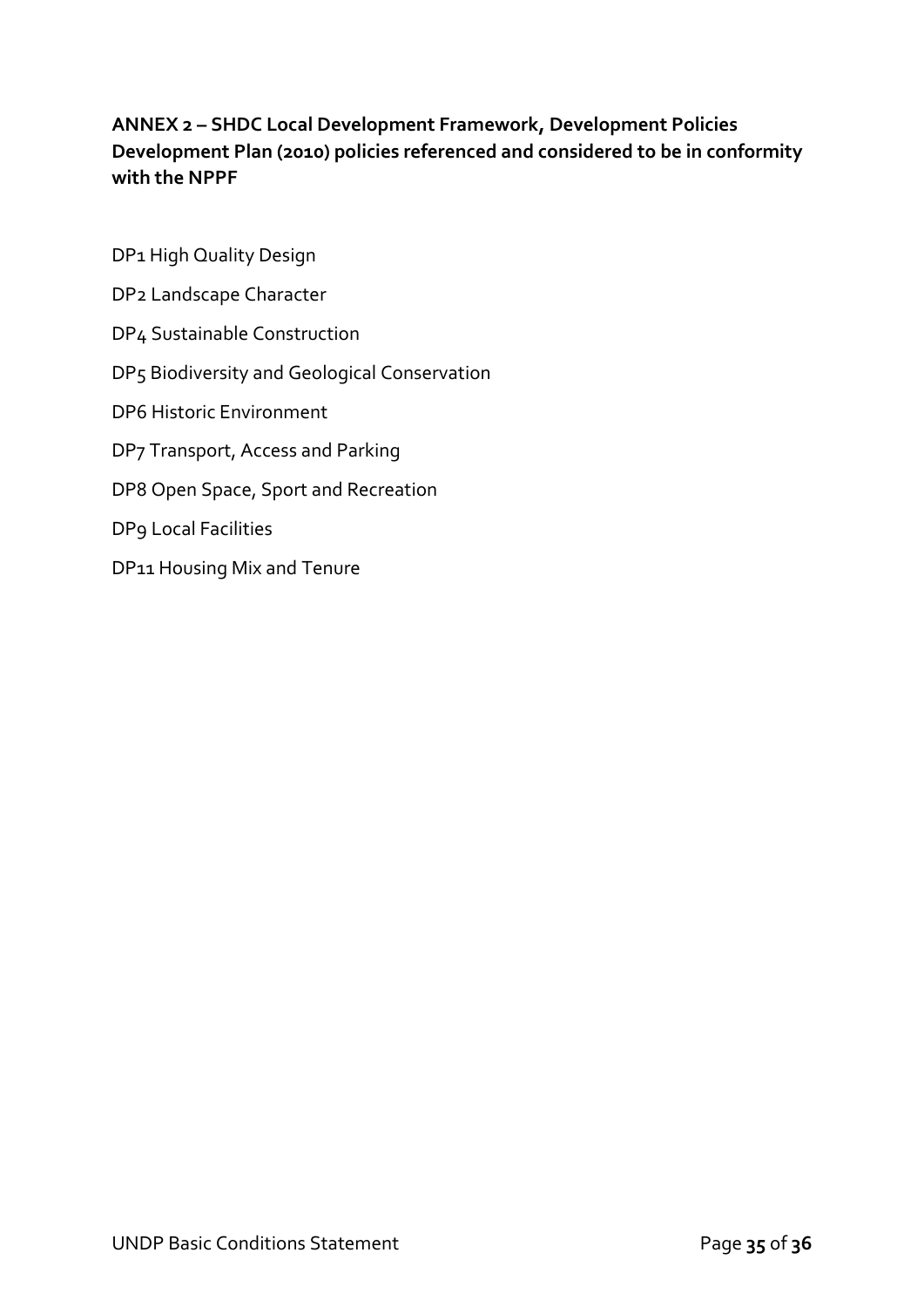### **ANNEX 2 – SHDC Local Development Framework, Development Policies Development Plan (2010) policies referenced and considered to be in conformity with the NPPF**

DP1 High Quality Design DP2 Landscape Character DP4 Sustainable Construction DP5 Biodiversity and Geological Conservation DP6 Historic Environment DP7 Transport, Access and Parking DP8 Open Space, Sport and Recreation DP9 Local Facilities DP11 Housing Mix and Tenure